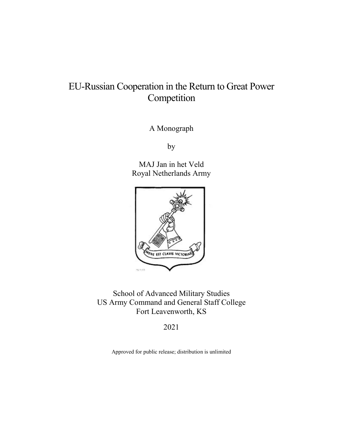# EU-Russian Cooperation in the Return to Great Power Competition

A Monograph

by

MAJ Jan in het Veld Royal Netherlands Army



School of Advanced Military Studies US Army Command and General Staff College Fort Leavenworth, KS

2021

Approved for public release; distribution is unlimited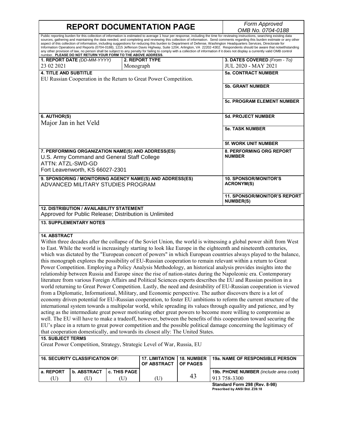# **REPORT DOCUMENTATION PAGE** *Form Approved*

*OMB No. 0704-0188*

Public reporting burden for this collection of information is estimated to average 1 hour per response, including the time for reviewing instructions, searching existing data sources, gathering and maintaining the data needed, and completing and reviewing this collection of information. Send comments regarding this burden estimate or any other aspect of this collection of information, including suggestions for reducing this burden to Department of Defense, Washington Headquarters Services, Directorate for<br>Information Operations and Reports (0704-0188), 1215 Jeff any other provision of law, no person shall be subject to any penalty for failing to comply with a collection of information if it does not display a currently valid OMB control<br>number. PLEASE DO NOT RETURN YOUR FORM TO T **1. REPORT DATE** *(DD-MM-YYYY)* 23 02 2021 **2. REPORT TYPE** Monograph **3. DATES COVERED** *(From - To)* JUL 2020 - MAY 2021 **4. TITLE AND SUBTITLE** EU Russian Cooperation in the Return to Great Power Competition. **5a. CONTRACT NUMBER 5b. GRANT NUMBER 5c. PROGRAM ELEMENT NUMBER 6. AUTHOR(S)** Major Jan in het Veld **5d. PROJECT NUMBER 5e. TASK NUMBER 5f. WORK UNIT NUMBER 7. PERFORMING ORGANIZATION NAME(S) AND ADDRESS(ES)** U.S. Army Command and General Staff College ATTN: ATZL-SWD-GD Fort Leavenworth, KS 66027-2301 **8. PERFORMING ORG REPORT NUMBER 9. SPONSORING / MONITORING AGENCY NAME(S) AND ADDRESS(ES)** ADVANCED MILITARY STUDIES PROGRAM **10. SPONSOR/MONITOR'S ACRONYM(S) 11. SPONSOR/MONITOR'S REPORT NUMBER(S) 12. DISTRIBUTION / AVAILABILITY STATEMENT** Approved for Public Release; Distribution is Unlimited **13. SUPPLEMENTARY NOTES 14. ABSTRACT** Within three decades after the collapse of the Soviet Union, the world is witnessing a global power shift from West to East. While the world is increasingly starting to look like Europe in the eighteenth and nineteenth centuries, which was dictated by the "European concert of powers" in which European countries always played to the balance, this monograph explores the possibility of EU-Russian cooperation to remain relevant within a return to Great Power Competition. Employing a Policy Analysis Methodology, an historical analysis provides insights into the relationship between Russia and Europe since the rise of nation-states during the Napoleonic era. Contemporary literature from various Foreign Affairs and Political Sciences experts describes the EU and Russian position in a world returning to Great Power Competition. Lastly, the need and desirability of EU-Russian cooperation is viewed from a Diplomatic, Informational, Military, and Economic perspective. The author discovers there is a lot of economy driven potential for EU-Russian cooperation, to foster EU ambitions to reform the current structure of the international system towards a multipolar world, while spreading its values through equality and patience, and by acting as the intermediate great power motivating other great powers to become more willing to compromise as well. The EU will have to make a tradeoff, however, between the benefits of this cooperation toward securing the EU's place in a return to great power competition and the possible political damage concerning the legitimacy of that cooperation domestically, and towards its closest ally: The United States. **15. SUBJECT TERMS** Great Power Competition, Strategy, Strategic Level of War, Russia, EU **16. SECURITY CLASSIFICATION OF: 17. LIMITATION OF ABSTRACT 18. NUMBER OF PAGES 19a. NAME OF RESPONSIBLE PERSON a. REPORT b. ABSTRACT c. THIS PAGE 19b. PHONE NUMBER** (include area code)

| ו השת | I D. ADSIRACI I C. INIS FAGE I |  | <b>130. FRONE NOMBER</b> <i>illicidae alea cod</i> |
|-------|--------------------------------|--|----------------------------------------------------|
| (U    |                                |  | $758 - 3300$                                       |
|       |                                |  | Standard Form 208 (Pou 8-08)                       |

**Standard Form 298 (Rev. 8-98) Prescribed by ANSI Std. Z39.18**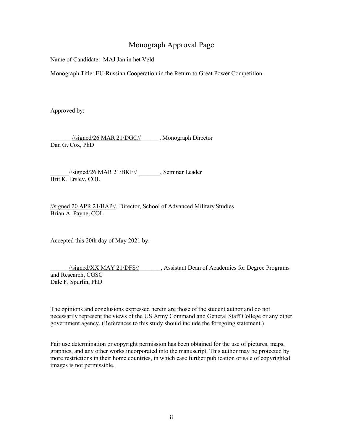## Monograph Approval Page

Name of Candidate: MAJ Jan in het Veld

Monograph Title: EU-Russian Cooperation in the Return to Great Power Competition.

Approved by:

 $\frac{1}{\text{signed}/26}$  MAR 21/DGC// , Monograph Director Dan G. Cox, PhD

\_\_\_\_\_\_//signed/26 MAR 21/BKE// \_\_\_\_\_\_\_, Seminar Leader Brit K. Erslev, COL

//signed 20 APR 21/BAP//, Director, School of Advanced Military Studies Brian A. Payne, COL

Accepted this 20th day of May 2021 by:

//signed/XX MAY 21/DFS// \_\_\_\_\_\_, Assistant Dean of Academics for Degree Programs and Research, CGSC Dale F. Spurlin, PhD

The opinions and conclusions expressed herein are those of the student author and do not necessarily represent the views of the US Army Command and General Staff College or any other government agency. (References to this study should include the foregoing statement.)

Fair use determination or copyright permission has been obtained for the use of pictures, maps, graphics, and any other works incorporated into the manuscript. This author may be protected by more restrictions in their home countries, in which case further publication or sale of copyrighted images is not permissible.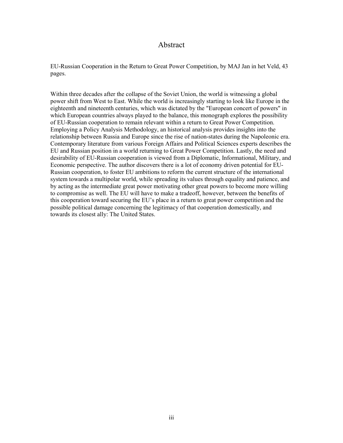#### Abstract

<span id="page-3-0"></span>EU-Russian Cooperation in the Return to Great Power Competition, by MAJ Jan in het Veld, 43 pages.

Within three decades after the collapse of the Soviet Union, the world is witnessing a global power shift from West to East. While the world is increasingly starting to look like Europe in the eighteenth and nineteenth centuries, which was dictated by the "European concert of powers" in which European countries always played to the balance, this monograph explores the possibility of EU-Russian cooperation to remain relevant within a return to Great Power Competition. Employing a Policy Analysis Methodology, an historical analysis provides insights into the relationship between Russia and Europe since the rise of nation-states during the Napoleonic era. Contemporary literature from various Foreign Affairs and Political Sciences experts describes the EU and Russian position in a world returning to Great Power Competition. Lastly, the need and desirability of EU-Russian cooperation is viewed from a Diplomatic, Informational, Military, and Economic perspective. The author discovers there is a lot of economy driven potential for EU-Russian cooperation, to foster EU ambitions to reform the current structure of the international system towards a multipolar world, while spreading its values through equality and patience, and by acting as the intermediate great power motivating other great powers to become more willing to compromise as well. The EU will have to make a tradeoff, however, between the benefits of this cooperation toward securing the EU's place in a return to great power competition and the possible political damage concerning the legitimacy of that cooperation domestically, and towards its closest ally: The United States.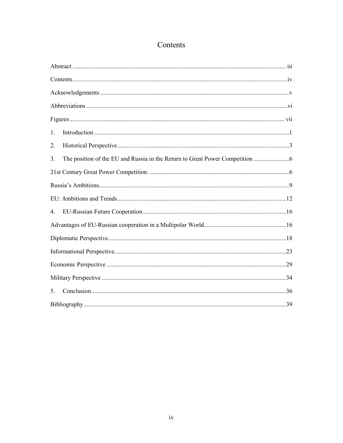# Contents

<span id="page-4-0"></span>

| 1. |
|----|
| 2. |
| 3. |
|    |
|    |
|    |
| 4. |
|    |
|    |
|    |
|    |
|    |
| 5. |
|    |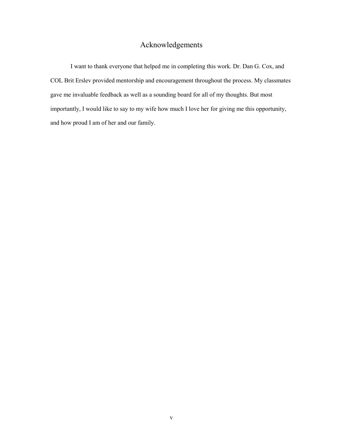## Acknowledgements

<span id="page-5-0"></span>I want to thank everyone that helped me in completing this work. Dr. Dan G. Cox, and COL Brit Erslev provided mentorship and encouragement throughout the process. My classmates gave me invaluable feedback as well as a sounding board for all of my thoughts. But most importantly, I would like to say to my wife how much I love her for giving me this opportunity, and how proud I am of her and our family.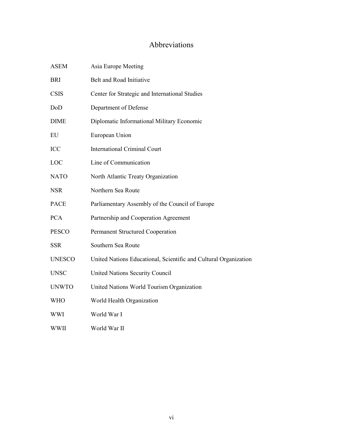# Abbreviations

<span id="page-6-0"></span>

| <b>ASEM</b>   | Asia Europe Meeting                                              |
|---------------|------------------------------------------------------------------|
| <b>BRI</b>    | Belt and Road Initiative                                         |
| <b>CSIS</b>   | Center for Strategic and International Studies                   |
| DoD           | Department of Defense                                            |
| <b>DIME</b>   | Diplomatic Informational Military Economic                       |
| EU            | European Union                                                   |
| ICC           | <b>International Criminal Court</b>                              |
| LOC           | Line of Communication                                            |
| <b>NATO</b>   | North Atlantic Treaty Organization                               |
| <b>NSR</b>    | Northern Sea Route                                               |
| <b>PACE</b>   | Parliamentary Assembly of the Council of Europe                  |
| <b>PCA</b>    | Partnership and Cooperation Agreement                            |
| <b>PESCO</b>  | <b>Permanent Structured Cooperation</b>                          |
| <b>SSR</b>    | Southern Sea Route                                               |
| <b>UNESCO</b> | United Nations Educational, Scientific and Cultural Organization |
| <b>UNSC</b>   | United Nations Security Council                                  |
| <b>UNWTO</b>  | United Nations World Tourism Organization                        |
| <b>WHO</b>    | World Health Organization                                        |
| <b>WWI</b>    | World War I                                                      |
| WWII          | World War II                                                     |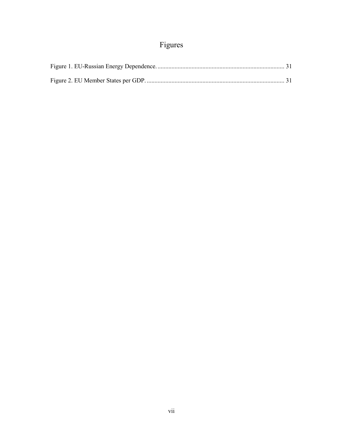# Figures

<span id="page-7-0"></span>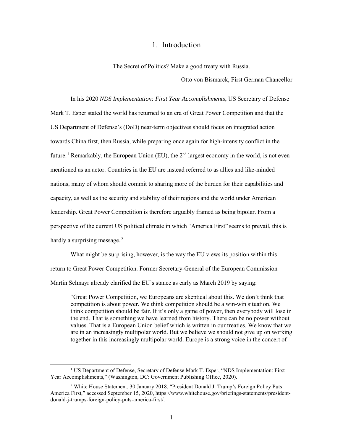#### 1. Introduction

The Secret of Politics? Make a good treaty with Russia.

—Otto von Bismarck, First German Chancellor

<span id="page-8-0"></span>In his 2020 *NDS Implementation: First Year Accomplishments*, US Secretary of Defense Mark T. Esper stated the world has returned to an era of Great Power Competition and that the US Department of Defense's (DoD) near-term objectives should focus on integrated action towards China first, then Russia, while preparing once again for high-intensity conflict in the future.<sup>1</sup> Remarkably, the European Union (EU), the  $2<sup>nd</sup>$  largest economy in the world, is not even mentioned as an actor. Countries in the EU are instead referred to as allies and like-minded nations, many of whom should commit to sharing more of the burden for their capabilities and capacity, as well as the security and stability of their regions and the world under American leadership. Great Power Competition is therefore arguably framed as being bipolar. From a perspective of the current US political climate in which "America First" seems to prevail, this is hardly a surprising message. $2$ 

What might be surprising, however, is the way the EU views its position within this return to Great Power Competition. Former Secretary-General of the European Commission Martin Selmayr already clarified the EU's stance as early as March 2019 by saying:

"Great Power Competition, we Europeans are skeptical about this. We don't think that competition is about power. We think competition should be a win-win situation. We think competition should be fair. If it's only a game of power, then everybody will lose in the end. That is something we have learned from history. There can be no power without values. That is a European Union belief which is written in our treaties. We know that we are in an increasingly multipolar world. But we believe we should not give up on working together in this increasingly multipolar world. Europe is a strong voice in the concert of

<sup>&</sup>lt;sup>1</sup> US Department of Defense, Secretary of Defense Mark T. Esper, "NDS Implementation: First Year Accomplishments," (Washington, DC: Government Publishing Office, 2020).

<sup>2</sup> White House Statement, 30 January 2018, "President Donald J. Trump's Foreign Policy Puts America First," accessed September 15, 2020, https://www.whitehouse.gov/briefings-statements/presidentdonald-j-trumps-foreign-policy-puts-america-first/.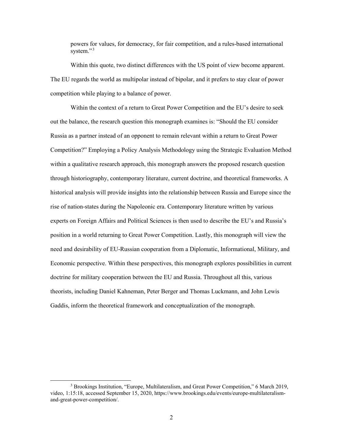powers for values, for democracy, for fair competition, and a rules-based international system."<sup>3</sup>

Within this quote, two distinct differences with the US point of view become apparent. The EU regards the world as multipolar instead of bipolar, and it prefers to stay clear of power competition while playing to a balance of power.

Within the context of a return to Great Power Competition and the EU's desire to seek out the balance, the research question this monograph examines is: "Should the EU consider Russia as a partner instead of an opponent to remain relevant within a return to Great Power Competition?" Employing a Policy Analysis Methodology using the Strategic Evaluation Method within a qualitative research approach, this monograph answers the proposed research question through historiography, contemporary literature, current doctrine, and theoretical frameworks. A historical analysis will provide insights into the relationship between Russia and Europe since the rise of nation-states during the Napoleonic era. Contemporary literature written by various experts on Foreign Affairs and Political Sciences is then used to describe the EU's and Russia's position in a world returning to Great Power Competition. Lastly, this monograph will view the need and desirability of EU-Russian cooperation from a Diplomatic, Informational, Military, and Economic perspective. Within these perspectives, this monograph explores possibilities in current doctrine for military cooperation between the EU and Russia. Throughout all this, various theorists, including Daniel Kahneman, Peter Berger and Thomas Luckmann, and John Lewis Gaddis, inform the theoretical framework and conceptualization of the monograph.

 <sup>3</sup> Brookings Institution, "Europe, Multilateralism, and Great Power Competition," 6 March 2019, video, 1:15:18, accessed September 15, 2020, https://www.brookings.edu/events/europe-multilateralismand-great-power-competition/.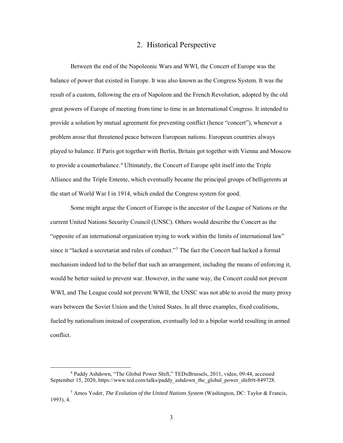### 2. Historical Perspective

<span id="page-10-0"></span>Between the end of the Napoleonic Wars and WWI, the Concert of Europe was the balance of power that existed in Europe. It was also known as the Congress System. It was the result of a custom, following the era of Napoleon and the French Revolution, adopted by the old great powers of Europe of meeting from time to time in an International Congress. It intended to provide a solution by mutual agreement for preventing conflict (hence "concert"), whenever a problem arose that threatened peace between European nations. European countries always played to balance. If Paris got together with Berlin, Britain got together with Vienna and Moscow to provide a counterbalance.<sup>4</sup> Ultimately, the Concert of Europe split itself into the Triple Alliance and the Triple Entente, which eventually became the principal groups of belligerents at the start of World War I in 1914, which ended the Congress system for good.

Some might argue the Concert of Europe is the ancestor of the League of Nations or the current United Nations Security Council (UNSC). Others would describe the Concert as the "opposite of an international organization trying to work within the limits of international law" since it "lacked a secretariat and rules of conduct."<sup>5</sup> The fact the Concert had lacked a formal mechanism indeed led to the belief that such an arrangement, including the means of enforcing it, would be better suited to prevent war. However, in the same way, the Concert could not prevent WWI, and The League could not prevent WWII, the UNSC was not able to avoid the many proxy wars between the Soviet Union and the United States. In all three examples, fixed coalitions, fueled by nationalism instead of cooperation, eventually led to a bipolar world resulting in armed conflict.

 <sup>4</sup> Paddy Ashdown, "The Global Power Shift," TEDxBrussels, 2011, video, 09:44, accessed September 15, 2020, https://www.ted.com/talks/paddy\_ashdown\_the\_global\_power\_shift#t-849728.

<sup>5</sup> Amos Yoder, *The Evolution of the United Nations System* (Washington, DC: Taylor & Francis, 1993), 4.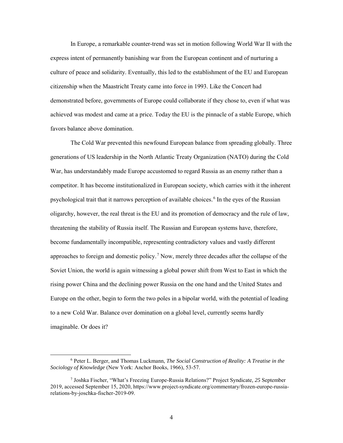In Europe, a remarkable counter-trend was set in motion following World War II with the express intent of permanently banishing war from the European continent and of nurturing a culture of peace and solidarity. Eventually, this led to the establishment of the EU and European citizenship when the Maastricht Treaty came into force in 1993. Like the Concert had demonstrated before, governments of Europe could collaborate if they chose to, even if what was achieved was modest and came at a price. Today the EU is the pinnacle of a stable Europe, which favors balance above domination.

The Cold War prevented this newfound European balance from spreading globally. Three generations of US leadership in the North Atlantic Treaty Organization (NATO) during the Cold War, has understandably made Europe accustomed to regard Russia as an enemy rather than a competitor. It has become institutionalized in European society, which carries with it the inherent psychological trait that it narrows perception of available choices.<sup>6</sup> In the eyes of the Russian oligarchy, however, the real threat is the EU and its promotion of democracy and the rule of law, threatening the stability of Russia itself. The Russian and European systems have, therefore, become fundamentally incompatible, representing contradictory values and vastly different approaches to foreign and domestic policy.<sup>7</sup> Now, merely three decades after the collapse of the Soviet Union, the world is again witnessing a global power shift from West to East in which the rising power China and the declining power Russia on the one hand and the United States and Europe on the other, begin to form the two poles in a bipolar world, with the potential of leading to a new Cold War. Balance over domination on a global level, currently seems hardly imaginable. Or does it?

 <sup>6</sup> Peter L. Berger, and Thomas Luckmann, *The Social Construction of Reality: A Treatise in the Sociology of Knowledge* (New York: Anchor Books, 1966), 53-57.

<sup>7</sup> Joshka Fischer, "What's Freezing Europe-Russia Relations?" Project Syndicate*, 25* September 2019, accessed September 15, 2020, https://www.project-syndicate.org/commentary/frozen-europe-russiarelations-by-joschka-fischer-2019-09.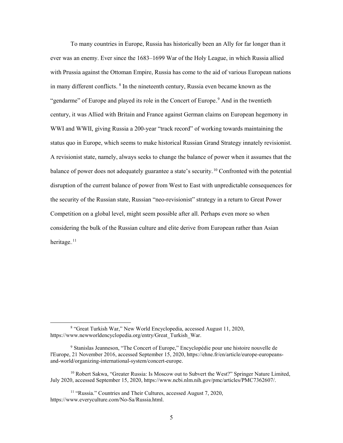To many countries in Europe, Russia has historically been an Ally for far longer than it ever was an enemy. Ever since the 1683–1699 War of the Holy League, in which Russia allied with Prussia against the Ottoman Empire, Russia has come to the aid of various European nations in many different conflicts. <sup>8</sup> In the nineteenth century, Russia even became known as the "gendarme" of Europe and played its role in the Concert of Europe.<sup>9</sup> And in the twentieth century, it was Allied with Britain and France against German claims on European hegemony in WWI and WWII, giving Russia a 200-year "track record" of working towards maintaining the status quo in Europe, which seems to make historical Russian Grand Strategy innately revisionist. A revisionist state, namely, always seeks to change the balance of power when it assumes that the balance of power does not adequately guarantee a state's security.<sup>10</sup> Confronted with the potential disruption of the current balance of power from West to East with unpredictable consequences for the security of the Russian state, Russian "neo-revisionist" strategy in a return to Great Power Competition on a global level, might seem possible after all. Perhaps even more so when considering the bulk of the Russian culture and elite derive from European rather than Asian heritage.<sup>11</sup>

 <sup>8</sup> "Great Turkish War," New World Encyclopedia, accessed August 11, 2020, https://www.newworldencyclopedia.org/entry/Great\_Turkish\_War.

<sup>9</sup> Stanislas Jeanneson, "The Concert of Europe," Encyclopédie pour une histoire nouvelle de l'Europe, 21 November 2016, accessed September 15, 2020[, https://ehne.fr/en/article/europe-europeans](https://ehne.fr/en/article/europe-europeans-and-world/organizing-international-system/concert-europe)[and-world/organizing-international-system/concert-europe.](https://ehne.fr/en/article/europe-europeans-and-world/organizing-international-system/concert-europe) 

<sup>&</sup>lt;sup>10</sup> Robert Sakwa, "Greater Russia: Is Moscow out to Subvert the West?" Springer Nature Limited, July 2020, accessed September 15, 2020, [https://www.ncbi.nlm.nih.gov/pmc/articles/PMC7362607/.](https://www.ncbi.nlm.nih.gov/pmc/articles/PMC7362607/)

<sup>&</sup>lt;sup>11</sup> "Russia." Countries and Their Cultures, accessed August 7, 2020, https://www.everyculture.com/No-Sa/Russia.html.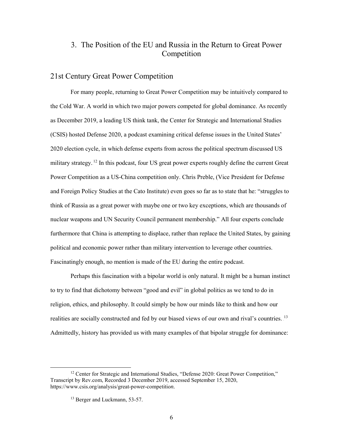## <span id="page-13-0"></span>3. The Position of the EU and Russia in the Return to Great Power Competition

#### <span id="page-13-1"></span>21st Century Great Power Competition

For many people, returning to Great Power Competition may be intuitively compared to the Cold War. A world in which two major powers competed for global dominance. As recently as December 2019, a leading US think tank, the Center for Strategic and International Studies (CSIS) hosted Defense 2020, a podcast examining critical defense issues in the United States' 2020 election cycle, in which defense experts from across the political spectrum discussed US military strategy.<sup>12</sup> In this podcast, four US great power experts roughly define the current Great Power Competition as a US-China competition only. Chris Preble, (Vice President for Defense and Foreign Policy Studies at the Cato Institute) even goes so far as to state that he: "struggles to think of Russia as a great power with maybe one or two key exceptions, which are thousands of nuclear weapons and UN Security Council permanent membership." All four experts conclude furthermore that China is attempting to displace, rather than replace the United States, by gaining political and economic power rather than military intervention to leverage other countries. Fascinatingly enough, no mention is made of the EU during the entire podcast.

Perhaps this fascination with a bipolar world is only natural. It might be a human instinct to try to find that dichotomy between "good and evil" in global politics as we tend to do in religion, ethics, and philosophy. It could simply be how our minds like to think and how our realities are socially constructed and fed by our biased views of our own and rival's countries. <sup>13</sup> Admittedly, history has provided us with many examples of that bipolar struggle for dominance:

<sup>&</sup>lt;sup>12</sup> Center for Strategic and International Studies, "Defense 2020: Great Power Competition," Transcript by Rev.com, Recorded 3 December 2019, accessed September 15, 2020, [https://www.csis.org/analysis/great-power-competitio](https://www.csis.org/analysis/great-power-competition)*n.* 

<sup>&</sup>lt;sup>13</sup> Berger and Luckmann, 53-57.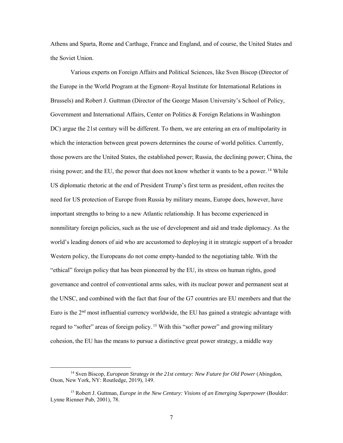Athens and Sparta, Rome and Carthage, France and England, and of course, the United States and the Soviet Union.

Various experts on Foreign Affairs and Political Sciences, like Sven Biscop (Director of the Europe in the World Program at the Egmont–Royal Institute for International Relations in Brussels) and Robert J. Guttman (Director of the George Mason University's School of Policy, Government and International Affairs, Center on Politics & Foreign Relations in Washington DC) argue the 21st century will be different. To them, we are entering an era of multipolarity in which the interaction between great powers determines the course of world politics. Currently, those powers are the United States, the established power; Russia, the declining power; China, the rising power; and the EU, the power that does not know whether it wants to be a power.<sup>14</sup> While US diplomatic rhetoric at the end of President Trump's first term as president, often recites the need for US protection of Europe from Russia by military means, Europe does, however, have important strengths to bring to a new Atlantic relationship. It has become experienced in nonmilitary foreign policies, such as the use of development and aid and trade diplomacy. As the world's leading donors of aid who are accustomed to deploying it in strategic support of a broader Western policy, the Europeans do not come empty-handed to the negotiating table. With the "ethical" foreign policy that has been pioneered by the EU, its stress on human rights, good governance and control of conventional arms sales, with its nuclear power and permanent seat at the UNSC, and combined with the fact that four of the G7 countries are EU members and that the Euro is the  $2<sup>nd</sup>$  most influential currency worldwide, the EU has gained a strategic advantage with regard to "softer" areas of foreign policy.<sup>15</sup> With this "softer power" and growing military cohesion, the EU has the means to pursue a distinctive great power strategy, a middle way

 <sup>14</sup> Sven Biscop, *European Strategy in the 21st century: New Future for Old Power* (Abingdon, Oxon, New York, NY: Routledge, 2019), 149.

<sup>15</sup> Robert J. Guttman, *Europe in the New Century: Visions of an Emerging Superpower* (Boulder: Lynne Rienner Pub, 2001), 78.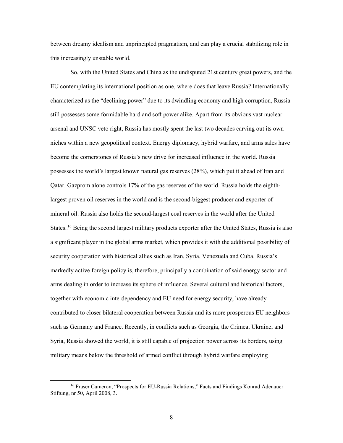between dreamy idealism and unprincipled pragmatism, and can play a crucial stabilizing role in this increasingly unstable world.

So, with the United States and China as the undisputed 21st century great powers, and the EU contemplating its international position as one, where does that leave Russia? Internationally characterized as the "declining power" due to its dwindling economy and high corruption, Russia still possesses some formidable hard and soft power alike. Apart from its obvious vast nuclear arsenal and UNSC veto right, Russia has mostly spent the last two decades carving out its own niches within a new geopolitical context. Energy diplomacy, hybrid warfare, and arms sales have become the cornerstones of Russia's new drive for increased influence in the world. Russia possesses the world's largest known natural gas reserves (28%), which put it ahead of Iran and Qatar. Gazprom alone controls 17% of the gas reserves of the world. Russia holds the eighthlargest proven oil reserves in the world and is the second-biggest producer and exporter of mineral oil. Russia also holds the second-largest coal reserves in the world after the United States.<sup>16</sup> Being the second largest military products exporter after the United States, Russia is also a significant player in the global arms market, which provides it with the additional possibility of security cooperation with historical allies such as Iran, Syria, Venezuela and Cuba. Russia's markedly active foreign policy is, therefore, principally a combination of said energy sector and arms dealing in order to increase its sphere of influence. Several cultural and historical factors, together with economic interdependency and EU need for energy security, have already contributed to closer bilateral cooperation between Russia and its more prosperous EU neighbors such as Germany and France. Recently, in conflicts such as Georgia, the Crimea, Ukraine, and Syria, Russia showed the world, it is still capable of projection power across its borders, using military means below the threshold of armed conflict through hybrid warfare employing

<sup>&</sup>lt;sup>16</sup> Fraser Cameron, "Prospects for EU-Russia Relations," Facts and Findings Konrad Adenauer Stiftung, nr 50, April 2008, 3.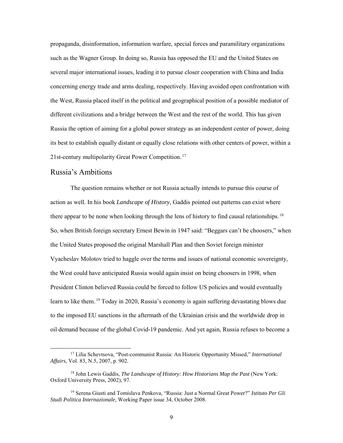propaganda, disinformation, information warfare, special forces and paramilitary organizations such as the Wagner Group. In doing so, Russia has opposed the EU and the United States on several major international issues, leading it to pursue closer cooperation with China and India concerning energy trade and arms dealing, respectively. Having avoided open confrontation with the West, Russia placed itself in the political and geographical position of a possible mediator of different civilizations and a bridge between the West and the rest of the world. This has given Russia the option of aiming for a global power strategy as an independent center of power, doing its best to establish equally distant or equally close relations with other centers of power, within a 21st-century multipolarity Great Power Competition.<sup>17</sup>

#### <span id="page-16-0"></span>Russia's Ambitions

The question remains whether or not Russia actually intends to pursue this course of action as well. In his book *Landscape of History*, Gaddis pointed out patterns can exist where there appear to be none when looking through the lens of history to find causal relationships.<sup>18</sup> So, when British foreign secretary Ernest Bewin in 1947 said: "Beggars can't be choosers," when the United States proposed the original Marshall Plan and then Soviet foreign minister Vyacheslav Molotov tried to haggle over the terms and issues of national economic sovereignty, the West could have anticipated Russia would again insist on being choosers in 1998, when President Clinton believed Russia could be forced to follow US policies and would eventually learn to like them.<sup>19</sup> Today in 2020, Russia's economy is again suffering devastating blows due to the imposed EU sanctions in the aftermath of the Ukrainian crisis and the worldwide drop in oil demand because of the global Covid-19 pandemic. And yet again, Russia refuses to become a

 <sup>17</sup> Lilia Schevtsova, "Post-communist Russia: An Historic Opportunity Missed," *International Affairs*, Vol. 83, N.5, 2007, p. 902.

<sup>18</sup> John Lewis Gaddis, *The Landscape of History: How Historians Map the Past* (New York: Oxford University Press, 2002), 97.

<sup>19</sup> Serena Giusti and Tomislava Penkova, "Russia: Just a Normal Great Power?" *Istituto Per Gli Studi Politica Internazionale*, Working Paper issue 34, October 2008.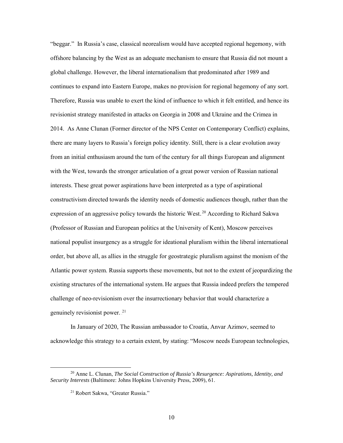"beggar." In Russia's case, classical neorealism would have accepted regional hegemony, with offshore balancing by the West as an adequate mechanism to ensure that Russia did not mount a global challenge. However, the liberal internationalism that predominated after 1989 and continues to expand into Eastern Europe, makes no provision for regional hegemony of any sort. Therefore, Russia was unable to exert the kind of influence to which it felt entitled, and hence its revisionist strategy manifested in attacks on Georgia in 2008 and Ukraine and the Crimea in 2014. As Anne Clunan (Former director of the NPS Center on Contemporary Conflict) explains, there are many layers to Russia's foreign policy identity. Still, there is a clear evolution away from an initial enthusiasm around the turn of the century for all things European and alignment with the West, towards the stronger articulation of a great power version of Russian national interests. These great power aspirations have been interpreted as a type of aspirational constructivism directed towards the identity needs of domestic audiences though, rather than the expression of an aggressive policy towards the historic West.<sup>20</sup> According to Richard Sakwa (Professor of Russian and European politics at the University of Kent), Moscow perceives national populist insurgency as a struggle for ideational pluralism within the liberal international order, but above all, as allies in the struggle for geostrategic pluralism against the monism of the Atlantic power system. Russia supports these movements, but not to the extent of jeopardizing the existing structures of the international system. He argues that Russia indeed prefers the tempered challenge of neo-revisionism over the insurrectionary behavior that would characterize a genuinely revisionist power.<sup>21</sup>

In January of 2020, The Russian ambassador to Croatia, Anvar Azimov, seemed to acknowledge this strategy to a certain extent, by stating: "Moscow needs European technologies,

 <sup>20</sup> Anne L. Clunan, *The Social Construction of Russia's Resurgence: Aspirations, Identity, and Security Interests* (Baltimore: Johns Hopkins University Press, 2009), 61.

<sup>21</sup> Robert Sakwa, "Greater Russia."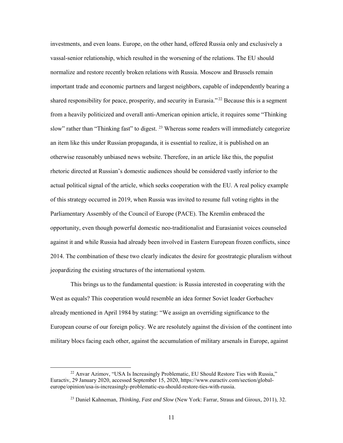investments, and even loans. Europe, on the other hand, offered Russia only and exclusively a vassal-senior relationship, which resulted in the worsening of the relations. The EU should normalize and restore recently broken relations with Russia. Moscow and Brussels remain important trade and economic partners and largest neighbors, capable of independently bearing a shared responsibility for peace, prosperity, and security in Eurasia."<sup>22</sup> Because this is a segment from a heavily politicized and overall anti-American opinion article, it requires some "Thinking slow" rather than "Thinking fast" to digest.<sup>23</sup> Whereas some readers will immediately categorize an item like this under Russian propaganda, it is essential to realize, it is published on an otherwise reasonably unbiased news website. Therefore, in an article like this, the populist rhetoric directed at Russian's domestic audiences should be considered vastly inferior to the actual political signal of the article, which seeks cooperation with the EU. A real policy example of this strategy occurred in 2019, when Russia was invited to resume full voting rights in the Parliamentary Assembly of the Council of Europe (PACE). The Kremlin embraced the opportunity, even though powerful domestic neo-traditionalist and Eurasianist voices counseled against it and while Russia had already been involved in Eastern European frozen conflicts, since 2014. The combination of these two clearly indicates the desire for geostrategic pluralism without jeopardizing the existing structures of the international system.

This brings us to the fundamental question: is Russia interested in cooperating with the West as equals? This cooperation would resemble an idea former Soviet leader Gorbachev already mentioned in April 1984 by stating: "We assign an overriding significance to the European course of our foreign policy. We are resolutely against the division of the continent into military blocs facing each other, against the accumulation of military arsenals in Europe, against

<sup>&</sup>lt;sup>22</sup> Anvar Azimov, "USA Is Increasingly Problematic, EU Should Restore Ties with Russia," Euractiv, 29 January 2020, accessed September 15, 2020[, https://www.euractiv.com/section/global](https://www.euractiv.com/section/global-europe/opinion/usa-is-increasingly-problematic-eu-should-restore-ties-with-russia)[europe/opinion/usa-is-increasingly-problematic-eu-should-restore-ties-with-russia.](https://www.euractiv.com/section/global-europe/opinion/usa-is-increasingly-problematic-eu-should-restore-ties-with-russia)

<sup>23</sup> Daniel Kahneman, *Thinking, Fast and Slow* (New York: Farrar, Straus and Giroux, 2011), 32.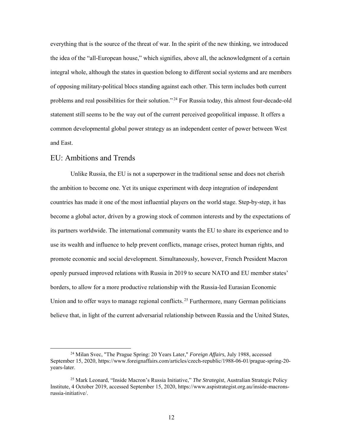everything that is the source of the threat of war. In the spirit of the new thinking, we introduced the idea of the "all-European house," which signifies, above all, the acknowledgment of a certain integral whole, although the states in question belong to different social systems and are members of opposing military-political blocs standing against each other. This term includes both current problems and real possibilities for their solution."<sup>24</sup> For Russia today, this almost four-decade-old statement still seems to be the way out of the current perceived geopolitical impasse. It offers a common developmental global power strategy as an independent center of power between West and East.

#### <span id="page-19-0"></span>EU: Ambitions and Trends

Unlike Russia, the EU is not a superpower in the traditional sense and does not cherish the ambition to become one. Yet its unique experiment with deep integration of independent countries has made it one of the most influential players on the world stage. Step-by-step, it has become a global actor, driven by a growing stock of common interests and by the expectations of its partners worldwide. The international community wants the EU to share its experience and to use its wealth and influence to help prevent conflicts, manage crises, protect human rights, and promote economic and social development. Simultaneously, however, French President Macron openly pursued improved relations with Russia in 2019 to secure NATO and EU member states' borders, to allow for a more productive relationship with the Russia-led Eurasian Economic Union and to offer ways to manage regional conflicts.<sup>25</sup> Furthermore, many German politicians believe that, in light of the current adversarial relationship between Russia and the United States,

 <sup>24</sup> Milan Svec, "The Prague Spring: 20 Years Later," *Foreign Affairs*, July 1988, accessed September 15, 2020, [https://www.foreignaffairs.com/articles/czech-republic/1988-06-01/prague-spring-20](https://www.foreignaffairs.com/articles/czech-republic/1988-06-01/prague-spring-20-years-later) [years-later.](https://www.foreignaffairs.com/articles/czech-republic/1988-06-01/prague-spring-20-years-later)

<sup>25</sup> Mark Leonard, "Inside Macron's Russia Initiative," *The Strategist*, Australian Strategic Policy Institute, 4 October 2019, accessed September 15, 2020[, https://www.aspistrategist.org.au/inside-macrons](https://www.aspistrategist.org.au/inside-macrons-russia-initiative/)[russia-initiative/.](https://www.aspistrategist.org.au/inside-macrons-russia-initiative/)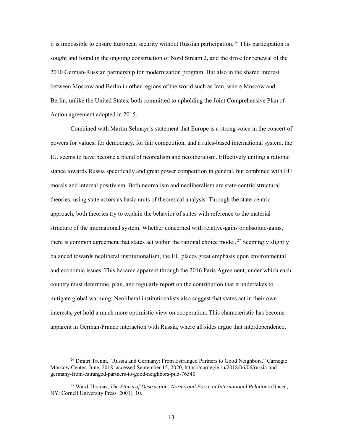it is impossible to ensure European security without Russian participation.<sup>26</sup> This participation is sought and found in the ongoing construction of Nord Stream 2, and the drive for renewal of the 2010 German-Russian partnership for modernization program. But also in the shared interest between Moscow and Berlin in other regions of the world such as Iran, where Moscow and Berlin, unlike the United States, both committed to upholding the Joint Comprehensive Plan of Action agreement adopted in 2015.

Combined with Martin Selmayr's statement that Europe is a strong voice in the concert of powers for values, for democracy, for fair competition, and a rules-based international system, the EU seems to have become a blend of neorealism and neoliberalism. Effectively uniting a rational stance towards Russia specifically and great power competition in general, but combined with EU morals and internal positivism. Both neorealism and neoliberalism are state-centric structural theories, using state actors as basic units of theoretical analysis. Through the state-centric approach, both theories try to explain the behavior of states with reference to the material structure of the international system. Whether concerned with relative-gains or absolute-gains, there is common agreement that states act within the rational choice model.<sup>27</sup> Seemingly slightly balanced towards neoliberal institutionalism, the EU places great emphasis upon environmental and economic issues. This became apparent through the 2016 Paris Agreement, under which each country must determine, plan, and regularly report on the contribution that it undertakes to mitigate global warming. Neoliberal institutionalists also suggest that states act in their own interests, yet hold a much more optimistic view on cooperation. This characteristic has become apparent in German-Franco interaction with Russia, where all sides argue that interdependence,

<sup>&</sup>lt;sup>26</sup> Dmitri Trenin, "Russia and Germany: From Estranged Partners to Good Neighbors," Carnegie Moscow Center, June, 2018, accessed September 15, 2020[, https://carnegie.ru/2018/06/06/russia-and](https://carnegie.ru/2018/06/06/russia-and-germany-from-estranged-partners-to-good-neighbors-pub-76540)[germany-from-estranged-partners-to-good-neighbors-pub-76540.](https://carnegie.ru/2018/06/06/russia-and-germany-from-estranged-partners-to-good-neighbors-pub-76540)

<sup>27</sup> Ward Thomas, *The Ethics of Destruction: Norms and Force in International Relations* (Ithaca, NY: Cornell University Press. 2001), 10.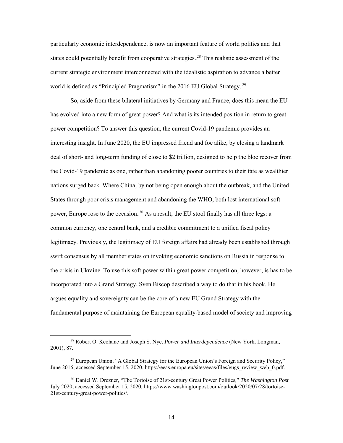particularly economic interdependence, is now an important feature of world politics and that states could potentially benefit from cooperative strategies.<sup>28</sup> This realistic assessment of the current strategic environment interconnected with the idealistic aspiration to advance a better world is defined as "Principled Pragmatism" in the 2016 EU Global Strategy.<sup>29</sup>

So, aside from these bilateral initiatives by Germany and France, does this mean the EU has evolved into a new form of great power? And what is its intended position in return to great power competition? To answer this question, the current Covid-19 pandemic provides an interesting insight. In June 2020, the EU impressed friend and foe alike, by closing a landmark deal of short- and long-term funding of close to \$2 trillion, designed to help the bloc recover from the Covid-19 pandemic as one, rather than abandoning poorer countries to their fate as wealthier nations surged back. Where China, by not being open enough about the outbreak, and the United States through poor crisis management and abandoning the WHO, both lost international soft power, Europe rose to the occasion.<sup>30</sup> As a result, the EU stool finally has all three legs: a common currency, one central bank, and a credible commitment to a unified fiscal policy legitimacy. Previously, the legitimacy of EU foreign affairs had already been established through swift consensus by all member states on invoking economic sanctions on Russia in response to the crisis in Ukraine. To use this soft power within great power competition, however, is has to be incorporated into a Grand Strategy. Sven Biscop described a way to do that in his book. He argues equality and sovereignty can be the core of a new EU Grand Strategy with the fundamental purpose of maintaining the European equality-based model of society and improving

 <sup>28</sup> Robert O. Keohane and Joseph S. Nye, *Power and Interdependence* (New York, Longman, 2001), 87.

 $29$  European Union, "A Global Strategy for the European Union's Foreign and Security Policy," June 2016, accessed September 15, 2020, https://eeas.europa.eu/sites/eeas/files/eugs\_review\_web\_0.pdf.

<sup>30</sup> Daniel W. Drezner, "The Tortoise of 21st-century Great Power Politics," *The Washington Post* July 2020, accessed September 15, 2020, [https://www.washingtonpost.com/outlook/2020/07/28/tortoise-](https://www.washingtonpost.com/outlook/2020/07/28/tortoise-21st-century-great-power-politics/)[21st-century-great-power-politics/.](https://www.washingtonpost.com/outlook/2020/07/28/tortoise-21st-century-great-power-politics/)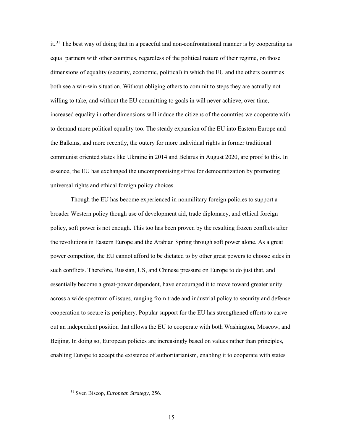it.<sup>31</sup> The best way of doing that in a peaceful and non-confrontational manner is by cooperating as equal partners with other countries, regardless of the political nature of their regime, on those dimensions of equality (security, economic, political) in which the EU and the others countries both see a win-win situation. Without obliging others to commit to steps they are actually not willing to take, and without the EU committing to goals in will never achieve, over time, increased equality in other dimensions will induce the citizens of the countries we cooperate with to demand more political equality too. The steady expansion of the EU into Eastern Europe and the Balkans, and more recently, the outcry for more individual rights in former traditional communist oriented states like Ukraine in 2014 and Belarus in August 2020, are proof to this. In essence, the EU has exchanged the uncompromising strive for democratization by promoting universal rights and ethical foreign policy choices.

Though the EU has become experienced in nonmilitary foreign policies to support a broader Western policy though use of development aid, trade diplomacy, and ethical foreign policy, soft power is not enough. This too has been proven by the resulting frozen conflicts after the revolutions in Eastern Europe and the Arabian Spring through soft power alone. As a great power competitor, the EU cannot afford to be dictated to by other great powers to choose sides in such conflicts. Therefore, Russian, US, and Chinese pressure on Europe to do just that, and essentially become a great-power dependent, have encouraged it to move toward greater unity across a wide spectrum of issues, ranging from trade and industrial policy to security and defense cooperation to secure its periphery. Popular support for the EU has strengthened efforts to carve out an independent position that allows the EU to cooperate with both Washington, Moscow, and Beijing. In doing so, European policies are increasingly based on values rather than principles, enabling Europe to accept the existence of authoritarianism, enabling it to cooperate with states

 <sup>31</sup> Sven Biscop, *European Strategy,* 256.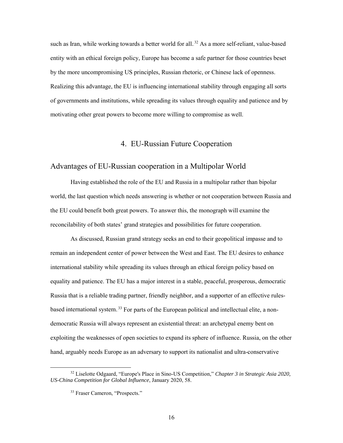such as Iran, while working towards a better world for all.<sup>32</sup> As a more self-reliant, value-based entity with an ethical foreign policy, Europe has become a safe partner for those countries beset by the more uncompromising US principles, Russian rhetoric, or Chinese lack of openness. Realizing this advantage, the EU is influencing international stability through engaging all sorts of governments and institutions, while spreading its values through equality and patience and by motivating other great powers to become more willing to compromise as well.

#### 4. EU-Russian Future Cooperation

#### <span id="page-23-1"></span><span id="page-23-0"></span>Advantages of EU-Russian cooperation in a Multipolar World

Having established the role of the EU and Russia in a multipolar rather than bipolar world, the last question which needs answering is whether or not cooperation between Russia and the EU could benefit both great powers. To answer this, the monograph will examine the reconcilability of both states' grand strategies and possibilities for future cooperation.

As discussed, Russian grand strategy seeks an end to their geopolitical impasse and to remain an independent center of power between the West and East. The EU desires to enhance international stability while spreading its values through an ethical foreign policy based on equality and patience. The EU has a major interest in a stable, peaceful, prosperous, democratic Russia that is a reliable trading partner, friendly neighbor, and a supporter of an effective rulesbased international system.<sup>33</sup> For parts of the European political and intellectual elite, a nondemocratic Russia will always represent an existential threat: an archetypal enemy bent on exploiting the weaknesses of open societies to expand its sphere of influence. Russia, on the other hand, arguably needs Europe as an adversary to support its nationalist and ultra-conservative

 <sup>32</sup> Liselotte Odgaard, "Europe's Place in Sino-US Competition," *Chapter 3 in Strategic Asia 2020, US-China Competition for Global Influence*, January 2020, 58.

<sup>33</sup> Fraser Cameron, "Prospects."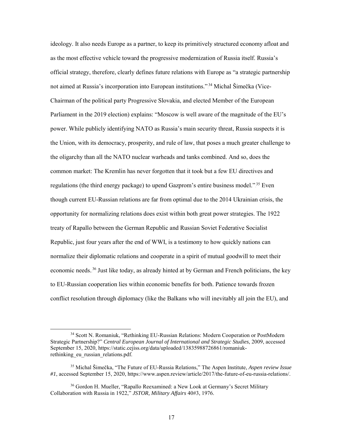ideology. It also needs Europe as a partner, to keep its primitively structured economy afloat and as the most effective vehicle toward the progressive modernization of Russia itself. Russia's official strategy, therefore, clearly defines future relations with Europe as "a strategic partnership not aimed at Russia's incorporation into European institutions."<sup>34</sup> Michal Šimečka (Vice-Chairman of the political party Progressive Slovakia, and elected Member of the European Parliament in the 2019 election) explains: "Moscow is well aware of the magnitude of the EU's power. While publicly identifying NATO as Russia's main security threat, Russia suspects it is the Union, with its democracy, prosperity, and rule of law, that poses a much greater challenge to the oligarchy than all the NATO nuclear warheads and tanks combined. And so, does the common market: The Kremlin has never forgotten that it took but a few EU directives and regulations (the third energy package) to upend Gazprom's entire business model."<sup>35</sup> Even though current EU-Russian relations are far from optimal due to the 2014 Ukrainian crisis, the opportunity for normalizing relations does exist within both great power strategies. The 1922 treaty of Rapallo between the German Republic and Russian Soviet Federative Socialist Republic, just four years after the end of WWI, is a testimony to how quickly nations can normalize their diplomatic relations and cooperate in a spirit of mutual goodwill to meet their economic needs.<sup>36</sup> Just like today, as already hinted at by German and French politicians, the key to EU-Russian cooperation lies within economic benefits for both. Patience towards frozen conflict resolution through diplomacy (like the Balkans who will inevitably all join the EU), and

 <sup>34</sup> Scott N. Romaniuk, "Rethinking EU-Russian Relations: Modern Cooperation or PostModern Strategic Partnership?" *Central European Journal of International and Strategic Studies*, 2009, accessed September 15, 2020, [https://static.cejiss.org/data/uploaded/13835988726861/romaniuk](https://static.cejiss.org/data/uploaded/13835988726861/romaniuk-rethinking_eu_russian_relations.pdf)rethinking eu russian relations.pdf.

<sup>35</sup> Michal Šimečka, "The Future of EU-Russia Relations," The Aspen Institute, *Aspen review Issue #1*, accessed September 15, 2020, https://www.aspen.review/article/2017/the-future-of-eu-russia-relations/.

<sup>36</sup> Gordon H. Mueller, "Rapallo Reexamined: a New Look at Germany's Secret Military Collaboration with Russia in 1922," *JSTOR, Military Affairs* 40#3, 1976.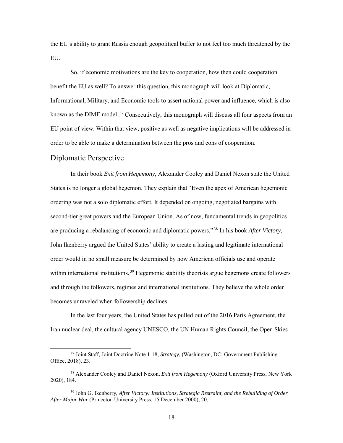the EU's ability to grant Russia enough geopolitical buffer to not feel too much threatened by the EU.

So, if economic motivations are the key to cooperation, how then could cooperation benefit the EU as well? To answer this question, this monograph will look at Diplomatic, Informational, Military, and Economic tools to assert national power and influence, which is also known as the DIME model.<sup>37</sup> Consecutively, this monograph will discuss all four aspects from an EU point of view. Within that view, positive as well as negative implications will be addressed in order to be able to make a determination between the pros and cons of cooperation.

#### <span id="page-25-0"></span>Diplomatic Perspective

In their book *Exit from Hegemony*, Alexander Cooley and Daniel Nexon state the United States is no longer a global hegemon. They explain that "Even the apex of American hegemonic ordering was not a solo diplomatic effort. It depended on ongoing, negotiated bargains with second-tier great powers and the European Union. As of now, fundamental trends in geopolitics are producing a rebalancing of economic and diplomatic powers."<sup>38</sup> In his book *After Victory*, John Ikenberry argued the United States' ability to create a lasting and legitimate international order would in no small measure be determined by how American officials use and operate within international institutions.<sup>39</sup> Hegemonic stability theorists argue hegemons create followers and through the followers, regimes and international institutions. They believe the whole order becomes unraveled when followership declines.

In the last four years, the United States has pulled out of the 2016 Paris Agreement, the Iran nuclear deal, the cultural agency UNESCO, the UN Human Rights Council, the Open Skies

 <sup>37</sup> Joint Staff, Joint Doctrine Note 1-18, *Strategy*, (Washington, DC: Government Publishing Office, 2018), 23.

<sup>38</sup> Alexander Cooley and Daniel Nexon, *Exit from Hegemony* (Oxford University Press, New York 2020), 184.

<sup>39</sup> John G. Ikenberry, *After Victory: Institutions, Strategic Restraint, and the Rebuilding of Order After Major War* (Princeton University Press, 15 December 2000), 20.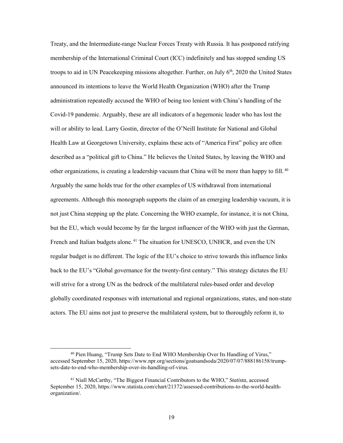Treaty, and the Intermediate-range Nuclear Forces Treaty with Russia. It has postponed ratifying membership of the International Criminal Court (ICC) indefinitely and has stopped sending US troops to aid in UN Peace keeping missions altogether. Further, on July  $6<sup>th</sup>$ , 2020 the United States announced its intentions to leave the World Health Organization (WHO) after the Trump administration repeatedly accused the WHO of being too lenient with China's handling of the Covid-19 pandemic. Arguably, these are all indicators of a hegemonic leader who has lost the will or ability to lead. Larry Gostin, director of the O'Neill Institute for National and Global Health Law at Georgetown University, explains these acts of "America First" policy are often described as a "political gift to China." He believes the United States, by leaving the WHO and other organizations, is creating a leadership vacuum that China will be more than happy to fill.<sup>40</sup> Arguably the same holds true for the other examples of US withdrawal from international agreements. Although this monograph supports the claim of an emerging leadership vacuum, it is not just China stepping up the plate. Concerning the WHO example, for instance, it is not China, but the EU, which would become by far the largest influencer of the WHO with just the German, French and Italian budgets alone.<sup>41</sup> The situation for UNESCO, UNHCR, and even the UN regular budget is no different. The logic of the EU's choice to strive towards this influence links back to the EU's "Global governance for the twenty-first century." This strategy dictates the EU will strive for a strong UN as the bedrock of the multilateral rules-based order and develop globally coordinated responses with international and regional organizations, states, and non-state actors. The EU aims not just to preserve the multilateral system, but to thoroughly reform it, to

 <sup>40</sup> Pien Huang, "Trump Sets Date to End WHO Membership Over Its Handling of Virus," accessed September 15, 2020[, https://www.npr.org/sections/goatsandsoda/2020/07/07/888186158/trump](https://www.npr.org/sections/goatsandsoda/2020/07/07/888186158/trump-sets-date-to-end-who-membership-over-its-handling-of-virus)[sets-date-to-end-who-membership-over-its-handling-of-virus.](https://www.npr.org/sections/goatsandsoda/2020/07/07/888186158/trump-sets-date-to-end-who-membership-over-its-handling-of-virus) 

<sup>41</sup> Niall McCarthy, "The Biggest Financial Contributors to the WHO," *Statista*, accessed September 15, 2020, [https://www.statista.com/chart/21372/assessed-contributions-to-the-world-health](https://www.statista.com/chart/21372/assessed-contributions-to-the-world-health-organization/)[organization/.](https://www.statista.com/chart/21372/assessed-contributions-to-the-world-health-organization/)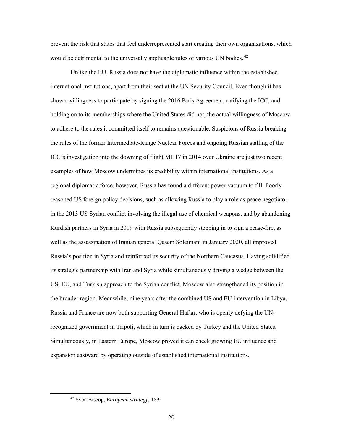prevent the risk that states that feel underrepresented start creating their own organizations, which would be detrimental to the universally applicable rules of various UN bodies.<sup>42</sup>

Unlike the EU, Russia does not have the diplomatic influence within the established international institutions, apart from their seat at the UN Security Council. Even though it has shown willingness to participate by signing the 2016 Paris Agreement, ratifying the ICC, and holding on to its memberships where the United States did not, the actual willingness of Moscow to adhere to the rules it committed itself to remains questionable. Suspicions of Russia breaking the rules of the former Intermediate-Range Nuclear Forces and ongoing Russian stalling of the ICC's investigation into the downing of flight MH17 in 2014 over Ukraine are just two recent examples of how Moscow undermines its credibility within international institutions. As a regional diplomatic force, however, Russia has found a different power vacuum to fill. Poorly reasoned US foreign policy decisions, such as allowing Russia to play a role as peace negotiator in the 2013 US-Syrian conflict involving the illegal use of chemical weapons, and by abandoning Kurdish partners in Syria in 2019 with Russia subsequently stepping in to sign a cease-fire, as well as the assassination of Iranian general Qasem Soleimani in January 2020, all improved Russia's position in Syria and reinforced its security of the Northern Caucasus. Having solidified its strategic partnership with Iran and Syria while simultaneously driving a wedge between the US, EU, and Turkish approach to the Syrian conflict, Moscow also strengthened its position in the broader region. Meanwhile, nine years after the combined US and EU intervention in Libya, Russia and France are now both supporting General Haftar, who is openly defying the UNrecognized government in Tripoli, which in turn is backed by Turkey and the United States. Simultaneously, in Eastern Europe, Moscow proved it can check growing EU influence and expansion eastward by operating outside of established international institutions.

 <sup>42</sup> Sven Biscop, *European strategy*, 189.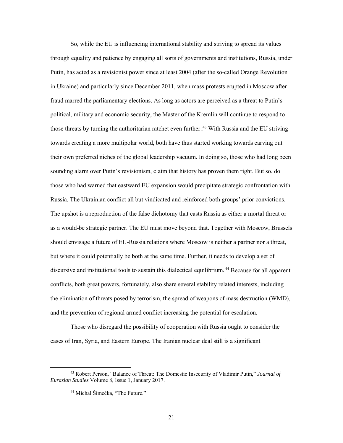So, while the EU is influencing international stability and striving to spread its values through equality and patience by engaging all sorts of governments and institutions, Russia, under Putin, has acted as a revisionist power since at least 2004 (after the so-called Orange Revolution in Ukraine) and particularly since December 2011, when mass protests erupted in Moscow after fraud marred the parliamentary elections. As long as actors are perceived as a threat to Putin's political, military and economic security, the Master of the Kremlin will continue to respond to those threats by turning the authoritarian ratchet even further.<sup>43</sup> With Russia and the EU striving towards creating a more multipolar world, both have thus started working towards carving out their own preferred niches of the global leadership vacuum. In doing so, those who had long been sounding alarm over Putin's revisionism, claim that history has proven them right. But so, do those who had warned that eastward EU expansion would precipitate strategic confrontation with Russia. The Ukrainian conflict all but vindicated and reinforced both groups' prior convictions. The upshot is a reproduction of the false dichotomy that casts Russia as either a mortal threat or as a would-be strategic partner. The EU must move beyond that. Together with Moscow, Brussels should envisage a future of EU-Russia relations where Moscow is neither a partner nor a threat, but where it could potentially be both at the same time. Further, it needs to develop a set of discursive and institutional tools to sustain this dialectical equilibrium.<sup>44</sup> Because for all apparent conflicts, both great powers, fortunately, also share several stability related interests, including the elimination of threats posed by terrorism, the spread of weapons of mass destruction (WMD), and the prevention of regional armed conflict increasing the potential for escalation.

Those who disregard the possibility of cooperation with Russia ought to consider the cases of Iran, Syria, and Eastern Europe. The Iranian nuclear deal still is a significant

 <sup>43</sup> Robert Person, "Balance of Threat: The Domestic Insecurity of Vladimir Putin," *Journal of Eurasian Studies* Volume 8, Issue 1, January 2017.

<sup>44</sup> Michal Šimečka, "The Future."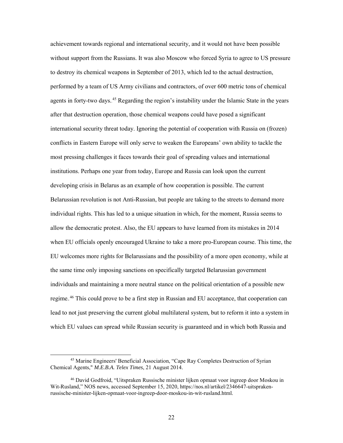achievement towards regional and international security, and it would not have been possible without support from the Russians. It was also Moscow who forced Syria to agree to US pressure to destroy its chemical weapons in September of 2013, which led to the actual destruction, performed by a team of US Army civilians and contractors, of over 600 metric tons of chemical agents in forty-two days.<sup>45</sup> Regarding the region's instability under the Islamic State in the years after that destruction operation, those chemical weapons could have posed a significant international security threat today. Ignoring the potential of cooperation with Russia on (frozen) conflicts in Eastern Europe will only serve to weaken the Europeans' own ability to tackle the most pressing challenges it faces towards their goal of spreading values and international institutions. Perhaps one year from today, Europe and Russia can look upon the current developing crisis in Belarus as an example of how cooperation is possible. The current Belarussian revolution is not Anti-Russian, but people are taking to the streets to demand more individual rights. This has led to a unique situation in which, for the moment, Russia seems to allow the democratic protest. Also, the EU appears to have learned from its mistakes in 2014 when EU officials openly encouraged Ukraine to take a more pro-European course. This time, the EU welcomes more rights for Belarussians and the possibility of a more open economy, while at the same time only imposing sanctions on specifically targeted Belarussian government individuals and maintaining a more neutral stance on the political orientation of a possible new regime.<sup>46</sup> This could prove to be a first step in Russian and EU acceptance, that cooperation can lead to not just preserving the current global multilateral system, but to reform it into a system in which EU values can spread while Russian security is guaranteed and in which both Russia and

 <sup>45</sup> Marine Engineers' Beneficial Association, "Cape Ray Completes Destruction of Syrian Chemical Agents," *M.E.B.A. Telex Times*, 21 August 2014.

<sup>46</sup> David Godfroid, "Uitspraken Russische minister lijken opmaat voor ingreep door Moskou in Wit-Rusland," NOS news, accessed September 15, 2020, [https://nos.nl/artikel/2346647-uitspraken](https://nos.nl/artikel/2346647-uitspraken-russische-minister-lijken-opmaat-voor-ingreep-door-moskou-in-wit-rusland.html)[russische-minister-lijken-opmaat-voor-ingreep-door-moskou-in-wit-rusland.html.](https://nos.nl/artikel/2346647-uitspraken-russische-minister-lijken-opmaat-voor-ingreep-door-moskou-in-wit-rusland.html)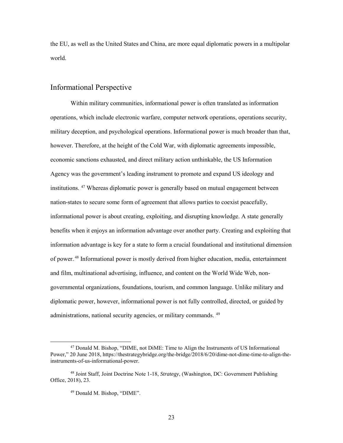the EU, as well as the United States and China, are more equal diplomatic powers in a multipolar world.

### <span id="page-30-0"></span>Informational Perspective

Within military communities, informational power is often translated as information operations, which include electronic warfare, computer network operations, operations security, military deception, and psychological operations. Informational power is much broader than that, however. Therefore, at the height of the Cold War, with diplomatic agreements impossible, economic sanctions exhausted, and direct military action unthinkable, the US Information Agency was the government's leading instrument to promote and expand US ideology and institutions. <sup>47</sup> Whereas diplomatic power is generally based on mutual engagement between nation-states to secure some form of agreement that allows parties to coexist peacefully, informational power is about creating, exploiting, and disrupting knowledge. A state generally benefits when it enjoys an information advantage over another party. Creating and exploiting that information advantage is key for a state to form a crucial foundational and institutional dimension of power.<sup>48</sup> Informational power is mostly derived from higher education, media, entertainment and film, multinational advertising, influence, and content on the World Wide Web, nongovernmental organizations, foundations, tourism, and common language. Unlike military and diplomatic power, however, informational power is not fully controlled, directed, or guided by administrations, national security agencies, or military commands. <sup>49</sup>

 <sup>47</sup> Donald M. Bishop, "DIME, not DiME: Time to Align the Instruments of US Informational Power," 20 June 2018, [https://thestrategybridge.org/the-bridge/2018/6/20/dime-not-dime-time-to-align-the](https://thestrategybridge.org/the-bridge/2018/6/20/dime-not-dime-time-to-align-the-instruments-of-us-informational-power)[instruments-of-us-informational-power.](https://thestrategybridge.org/the-bridge/2018/6/20/dime-not-dime-time-to-align-the-instruments-of-us-informational-power)

<sup>48</sup> Joint Staff, Joint Doctrine Note 1-18, *Strategy*, (Washington, DC: Government Publishing Office, 2018), 23.

<sup>49</sup> Donald M. Bishop, "DIME".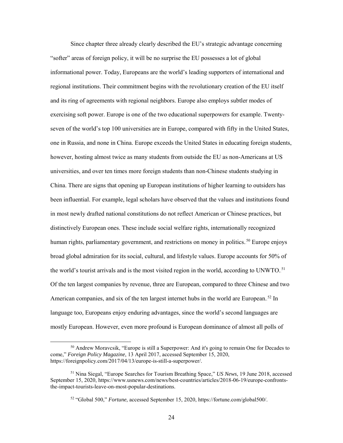Since chapter three already clearly described the EU's strategic advantage concerning "softer" areas of foreign policy, it will be no surprise the EU possesses a lot of global informational power. Today, Europeans are the world's leading supporters of international and regional institutions. Their commitment begins with the revolutionary creation of the EU itself and its ring of agreements with regional neighbors. Europe also employs subtler modes of exercising soft power. Europe is one of the two educational superpowers for example. Twentyseven of the world's top 100 universities are in Europe, compared with fifty in the United States, one in Russia, and none in China. Europe exceeds the United States in educating foreign students, however, hosting almost twice as many students from outside the EU as non-Americans at US universities, and over ten times more foreign students than non-Chinese students studying in China. There are signs that opening up European institutions of higher learning to outsiders has been influential. For example, legal scholars have observed that the values and institutions found in most newly drafted national constitutions do not reflect American or Chinese practices, but distinctively European ones. These include social welfare rights, internationally recognized human rights, parliamentary government, and restrictions on money in politics.<sup>50</sup> Europe enjoys broad global admiration for its social, cultural, and lifestyle values. Europe accounts for 50% of the world's tourist arrivals and is the most visited region in the world, according to UNWTO.<sup>51</sup> Of the ten largest companies by revenue, three are European, compared to three Chinese and two American companies, and six of the ten largest internet hubs in the world are European.<sup>52</sup> In language too, Europeans enjoy enduring advantages, since the world's second languages are mostly European. However, even more profound is European dominance of almost all polls of

 <sup>50</sup> Andrew Moravcsik, "Europe is still a Superpower: And it's going to remain One for Decades to come," *Foreign Policy Magazine*, 13 April 2017, accessed September 15, 2020, [https://foreignpolicy.com/2017/04/13/europe-is-still-a-superpower/.](https://foreignpolicy.com/2017/04/13/europe-is-still-a-superpower/)

<sup>51</sup> Nina Siegal, "Europe Searches for Tourism Breathing Space," *US News*, 19 June 2018, accessed September 15, 2020, [https://www.usnews.com/news/best-countries/articles/2018-06-19/europe-confronts](https://www.usnews.com/news/best-countries/articles/2018-06-19/europe-confronts-the-impact-tourists-leave-on-most-popular-destinations)[the-impact-tourists-leave-on-most-popular-destinations.](https://www.usnews.com/news/best-countries/articles/2018-06-19/europe-confronts-the-impact-tourists-leave-on-most-popular-destinations)

<sup>52</sup> "Global 500," *Fortune*, accessed September 15, 2020, https://fortune.com/global500/.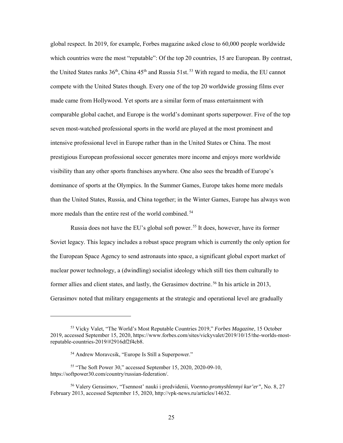global respect. In 2019, for example, Forbes magazine asked close to 60,000 people worldwide which countries were the most "reputable": Of the top 20 countries, 15 are European. By contrast, the United States ranks  $36<sup>th</sup>$ , China  $45<sup>th</sup>$  and Russia 51st.<sup>53</sup> With regard to media, the EU cannot compete with the United States though. Every one of the top 20 worldwide grossing films ever made came from Hollywood. Yet sports are a similar form of mass entertainment with comparable global cachet, and Europe is the world's dominant sports superpower. Five of the top seven most-watched professional sports in the world are played at the most prominent and intensive professional level in Europe rather than in the United States or China. The most prestigious European professional soccer generates more income and enjoys more worldwide visibility than any other sports franchises anywhere. One also sees the breadth of Europe's dominance of sports at the Olympics. In the Summer Games, Europe takes home more medals than the United States, Russia, and China together; in the Winter Games, Europe has always won more medals than the entire rest of the world combined.<sup>54</sup>

Russia does not have the EU's global soft power.<sup>55</sup> It does, however, have its former Soviet legacy. This legacy includes a robust space program which is currently the only option for the European Space Agency to send astronauts into space, a significant global export market of nuclear power technology, a (dwindling) socialist ideology which still ties them culturally to former allies and client states, and lastly, the Gerasimov doctrine.<sup>56</sup> In his article in 2013, Gerasimov noted that military engagements at the strategic and operational level are gradually

 $\overline{a}$ 

<sup>53</sup> Vicky Valet, "The World's Most Reputable Countries 2019," *Forbes Magazine*, 15 October 2019, accessed September 15, 2020[, https://www.forbes.com/sites/vickyvalet/2019/10/15/the-worlds-most](https://www.forbes.com/sites/vickyvalet/2019/10/15/the-worlds-most-reputable-countries-2019/#2916df2f4cb8)[reputable-countries-2019/#2916df2f4cb8.](https://www.forbes.com/sites/vickyvalet/2019/10/15/the-worlds-most-reputable-countries-2019/#2916df2f4cb8) 

<sup>54</sup> Andrew Moravcsik, "Europe Is Still a Superpower."

<sup>55</sup> "The Soft Power 30," accessed September 15, 2020, 2020-09-10, https://softpower30.com/country/russian-federation/.

<sup>56</sup> Valery Gerasimov, "Tsennost' nauki i predvidenii, *Voenno-promyshlennyi kur'er",* No. 8, 27 February 2013, accessed September 15, 2020[, http://vpk-news.ru/articles/14632.](http://vpk-news.ru/articles/14632)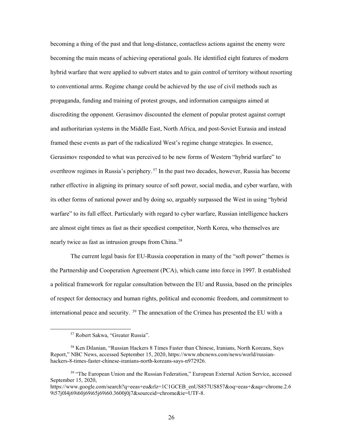becoming a thing of the past and that long-distance, contactless actions against the enemy were becoming the main means of achieving operational goals. He identified eight features of modern hybrid warfare that were applied to subvert states and to gain control of territory without resorting to conventional arms. Regime change could be achieved by the use of civil methods such as propaganda, funding and training of protest groups, and information campaigns aimed at discrediting the opponent. Gerasimov discounted the element of popular protest against corrupt and authoritarian systems in the Middle East, North Africa, and post-Soviet Eurasia and instead framed these events as part of the radicalized West's regime change strategies. In essence, Gerasimov responded to what was perceived to be new forms of Western "hybrid warfare" to overthrow regimes in Russia's periphery.<sup>57</sup> In the past two decades, however, Russia has become rather effective in aligning its primary source of soft power, social media, and cyber warfare, with its other forms of national power and by doing so, arguably surpassed the West in using "hybrid warfare" to its full effect. Particularly with regard to cyber warfare, Russian intelligence hackers are almost eight times as fast as their speediest competitor, North Korea, who themselves are nearly twice as fast as intrusion groups from China.<sup>58</sup>

The current legal basis for EU-Russia cooperation in many of the "soft power" themes is the Partnership and Cooperation Agreement (PCA), which came into force in 1997. It established a political framework for regular consultation between the EU and Russia, based on the principles of respect for democracy and human rights, political and economic freedom, and commitment to international peace and security. <sup>59</sup> The annexation of the Crimea has presented the EU with a

 <sup>57</sup> Robert Sakwa, "Greater Russia".

<sup>58</sup> Ken Dilanian, "Russian Hackers 8 Times Faster than Chinese, Iranians, North Koreans, Says Report," NBC News, accessed September 15, 2020, [https://www.nbcnews.com/news/world/russian](https://www.nbcnews.com/news/world/russian-hackers-8-times-faster-chinese-iranians-north-koreans-says-n972926)[hackers-8-times-faster-chinese-iranians-north-koreans-says-n972926.](https://www.nbcnews.com/news/world/russian-hackers-8-times-faster-chinese-iranians-north-koreans-says-n972926) 

<sup>&</sup>lt;sup>59</sup> "The European Union and the Russian Federation," European External Action Service, accessed September 15, 2020,

https://www.google.com/search?q=eeas+eu&rlz=1C1GCEB\_enUS857US857&oq=eeas+&aqs=chrome.2.6 9i57j0l4j69i60j69i65j69i60.3600j0j7&sourceid=chrome&ie=UTF-8.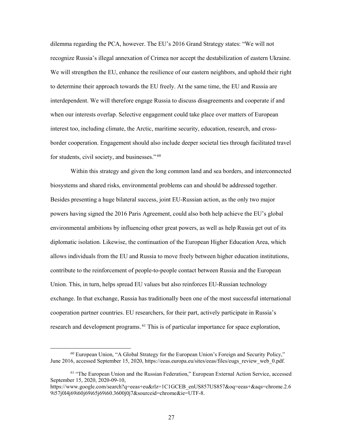dilemma regarding the PCA, however. The EU's 2016 Grand Strategy states: "We will not recognize Russia's illegal annexation of Crimea nor accept the destabilization of eastern Ukraine. We will strengthen the EU, enhance the resilience of our eastern neighbors, and uphold their right to determine their approach towards the EU freely. At the same time, the EU and Russia are interdependent. We will therefore engage Russia to discuss disagreements and cooperate if and when our interests overlap. Selective engagement could take place over matters of European interest too, including climate, the Arctic, maritime security, education, research, and crossborder cooperation. Engagement should also include deeper societal ties through facilitated travel for students, civil society, and businesses.". $60$ 

Within this strategy and given the long common land and sea borders, and interconnected biosystems and shared risks, environmental problems can and should be addressed together. Besides presenting a huge bilateral success, joint EU-Russian action, as the only two major powers having signed the 2016 Paris Agreement, could also both help achieve the EU's global environmental ambitions by influencing other great powers, as well as help Russia get out of its diplomatic isolation. Likewise, the continuation of the European Higher Education Area, which allows individuals from the EU and Russia to move freely between higher education institutions, contribute to the reinforcement of people-to-people contact between Russia and the European Union. This, in turn, helps spread EU values but also reinforces EU-Russian technology exchange. In that exchange, Russia has traditionally been one of the most successful international cooperation partner countries. EU researchers, for their part, actively participate in Russia's research and development programs.<sup>61</sup> This is of particular importance for space exploration,

 $60$  European Union, "A Global Strategy for the European Union's Foreign and Security Policy," June 2016, accessed September 15, 2020[, https://eeas.europa.eu/sites/eeas/files/eugs\\_review\\_web\\_0.pdf.](https://eeas.europa.eu/sites/eeas/files/eugs_review_web_0.pdf)

<sup>&</sup>lt;sup>61</sup> "The European Union and the Russian Federation," European External Action Service, accessed September 15, 2020, 2020-09-10,

https://www.google.com/search?q=eeas+eu&rlz=1C1GCEB\_enUS857US857&oq=eeas+&aqs=chrome.2.6 9i57j0l4j69i60j69i65j69i60.3600j0j7&sourceid=chrome&ie=UTF-8.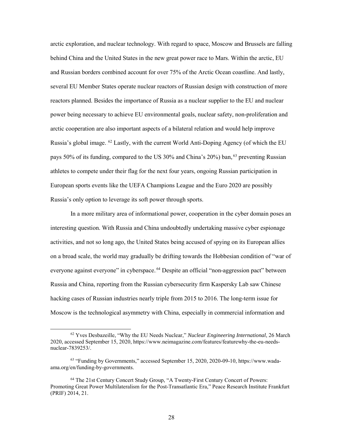arctic exploration, and nuclear technology. With regard to space, Moscow and Brussels are falling behind China and the United States in the new great power race to Mars. Within the arctic, EU and Russian borders combined account for over 75% of the Arctic Ocean coastline. And lastly, several EU Member States operate nuclear reactors of Russian design with construction of more reactors planned. Besides the importance of Russia as a nuclear supplier to the EU and nuclear power being necessary to achieve EU environmental goals, nuclear safety, non-proliferation and arctic cooperation are also important aspects of a bilateral relation and would help improve Russia's global image. <sup>62</sup> Lastly, with the current World Anti-Doping Agency (of which the EU pays 50% of its funding, compared to the US 30% and China's 20%) ban,  $^{63}$  preventing Russian athletes to compete under their flag for the next four years, ongoing Russian participation in European sports events like the UEFA Champions League and the Euro 2020 are possibly Russia's only option to leverage its soft power through sports.

In a more military area of informational power, cooperation in the cyber domain poses an interesting question. With Russia and China undoubtedly undertaking massive cyber espionage activities, and not so long ago, the United States being accused of spying on its European allies on a broad scale, the world may gradually be drifting towards the Hobbesian condition of "war of everyone against everyone" in cyberspace.<sup>64</sup> Despite an official "non-aggression pact" between Russia and China, reporting from the Russian cybersecurity firm Kaspersky Lab saw Chinese hacking cases of Russian industries nearly triple from 2015 to 2016. The long-term issue for Moscow is the technological asymmetry with China, especially in commercial information and

 <sup>62</sup> Yves Desbazeille, "Why the EU Needs Nuclear," *Nuclear Engineering International*, 26 March 2020, accessed September 15, 2020[, https://www.neimagazine.com/features/featurewhy-the-eu-needs](https://www.neimagazine.com/features/featurewhy-the-eu-needs-nuclear-7839253/)[nuclear-7839253/.](https://www.neimagazine.com/features/featurewhy-the-eu-needs-nuclear-7839253/)

<sup>63</sup> "Funding by Governments," accessed September 15, 2020, 2020-09-10, https://www.wadaama.org/en/funding-by-governments.

<sup>64</sup> The 21st Century Concert Study Group, "A Twenty-First Century Concert of Powers: Promoting Great Power Multilateralism for the Post-Transatlantic Era," Peace Research Institute Frankfurt (PRIF) 2014, 21.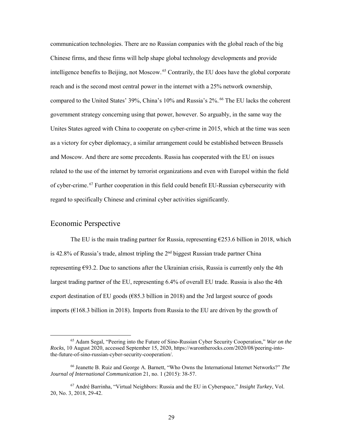communication technologies. There are no Russian companies with the global reach of the big Chinese firms, and these firms will help shape global technology developments and provide intelligence benefits to Beijing, not Moscow.<sup>65</sup> Contrarily, the EU does have the global corporate reach and is the second most central power in the internet with a 25% network ownership, compared to the United States' 39%, China's 10% and Russia's 2%.<sup>66</sup> The EU lacks the coherent government strategy concerning using that power, however. So arguably, in the same way the Unites States agreed with China to cooperate on cyber-crime in 2015, which at the time was seen as a victory for cyber diplomacy, a similar arrangement could be established between Brussels and Moscow. And there are some precedents. Russia has cooperated with the EU on issues related to the use of the internet by terrorist organizations and even with Europol within the field of cyber-crime.<sup>67</sup> Further cooperation in this field could benefit EU-Russian cybersecurity with regard to specifically Chinese and criminal cyber activities significantly.

#### <span id="page-36-0"></span>Economic Perspective

The EU is the main trading partner for Russia, representing  $£253.6$  billion in 2018, which is 42.8% of Russia's trade, almost tripling the  $2<sup>nd</sup>$  biggest Russian trade partner China representing €93.2. Due to sanctions after the Ukrainian crisis, Russia is currently only the 4th largest trading partner of the EU, representing 6.4% of overall EU trade. Russia is also the 4th export destination of EU goods ( $\epsilon$ 85.3 billion in 2018) and the 3rd largest source of goods imports ( $\epsilon$ 168.3 billion in 2018). Imports from Russia to the EU are driven by the growth of

 <sup>65</sup> Adam Segal, "Peering into the Future of Sino-Russian Cyber Security Cooperation," *War on the Rocks*, 10 August 2020, accessed September 15, 2020[, https://warontherocks.com/2020/08/peering-into](https://warontherocks.com/2020/08/peering-into-the-future-of-sino-russian-cyber-security-cooperation/)[the-future-of-sino-russian-cyber-security-cooperation/.](https://warontherocks.com/2020/08/peering-into-the-future-of-sino-russian-cyber-security-cooperation/) 

<sup>66</sup> Jeanette B. Ruiz and George A. Barnett, "Who Owns the International Internet Networks?" *The Journal of International Communication* 21, no. 1 (2015): 38-57.

<sup>67</sup> André Barrinha, "Virtual Neighbors: Russia and the EU in Cyberspace," *Insight Turkey*, Vol. 20, No. 3, 2018, 29-42.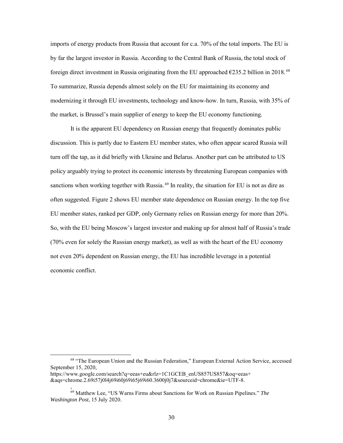imports of energy products from Russia that account for c.a. 70% of the total imports. The EU is by far the largest investor in Russia. According to the Central Bank of Russia, the total stock of foreign direct investment in Russia originating from the EU approached  $\epsilon$ 235.2 billion in 2018.<sup>68</sup> To summarize, Russia depends almost solely on the EU for maintaining its economy and modernizing it through EU investments, technology and know-how. In turn, Russia, with 35% of the market, is Brussel's main supplier of energy to keep the EU economy functioning.

It is the apparent EU dependency on Russian energy that frequently dominates public discussion. This is partly due to Eastern EU member states, who often appear scared Russia will turn off the tap, as it did briefly with Ukraine and Belarus. Another part can be attributed to US policy arguably trying to protect its economic interests by threatening European companies with sanctions when working together with Russia.<sup>69</sup> In reality, the situation for EU is not as dire as often suggested. Figure 2 shows EU member state dependence on Russian energy. In the top five EU member states, ranked per GDP, only Germany relies on Russian energy for more than 20%. So, with the EU being Moscow's largest investor and making up for almost half of Russia's trade (70% even for solely the Russian energy market), as well as with the heart of the EU economy not even 20% dependent on Russian energy, the EU has incredible leverage in a potential economic conflict.

,

 <sup>68</sup> "The European Union and the Russian Federation," European External Action Service, accessed September 15, 2020,

https://www.google.com/search?q=eeas+eu&rlz=1C1GCEB\_enUS857US857&oq=eeas+ &aqs=chrome.2.69i57j0l4j69i60j69i65j69i60.3600j0j7&sourceid=chrome&ie=UTF-8.

<sup>69</sup> Matthew Lee, "US Warns Firms about Sanctions for Work on Russian Pipelines." *The Washington Post*, 15 July 2020.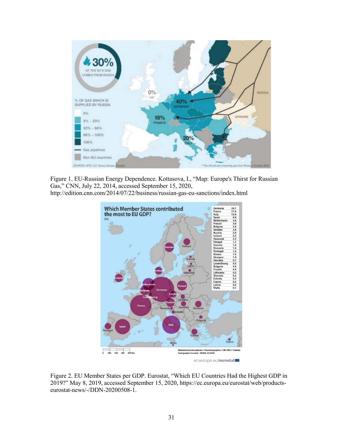

<span id="page-38-0"></span>Figure 1. EU-Russian Energy Dependence. Kottasova, I., "Map: Europe's Thirst for Russian Gas," CNN, July 22, 2014, accessed September 15, 2020,

http://edition.cnn.com/2014/07/22/business/russian-gas-eu-sanctions/index.html



ec.europa.eu/eurostat

<span id="page-38-1"></span>Figure 2. EU Member States per GDP. Eurostat, "Which EU Countries Had the Highest GDP in 2019?" May 8, 2019, accessed September 15, 2020, https://ec.europa.eu/eurostat/web/productseurostat-news/-/DDN-20200508-1.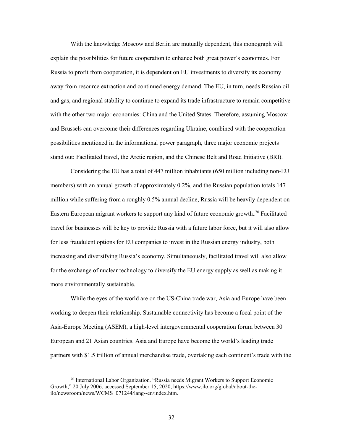With the knowledge Moscow and Berlin are mutually dependent, this monograph will explain the possibilities for future cooperation to enhance both great power's economies. For Russia to profit from cooperation, it is dependent on EU investments to diversify its economy away from resource extraction and continued energy demand. The EU, in turn, needs Russian oil and gas, and regional stability to continue to expand its trade infrastructure to remain competitive with the other two major economies: China and the United States. Therefore, assuming Moscow and Brussels can overcome their differences regarding Ukraine, combined with the cooperation possibilities mentioned in the informational power paragraph, three major economic projects stand out: Facilitated travel, the Arctic region, and the Chinese Belt and Road Initiative (BRI).

Considering the EU has a total of 447 million inhabitants (650 million including non-EU members) with an annual growth of approximately 0.2%, and the Russian population totals 147 million while suffering from a roughly 0.5% annual decline, Russia will be heavily dependent on Eastern European migrant workers to support any kind of future economic growth.<sup>70</sup> Facilitated travel for businesses will be key to provide Russia with a future labor force, but it will also allow for less fraudulent options for EU companies to invest in the Russian energy industry, both increasing and diversifying Russia's economy. Simultaneously, facilitated travel will also allow for the exchange of nuclear technology to diversify the EU energy supply as well as making it more environmentally sustainable.

While the eyes of the world are on the US-China trade war, Asia and Europe have been working to deepen their relationship. Sustainable connectivity has become a focal point of the Asia-Europe Meeting (ASEM), a high-level intergovernmental cooperation forum between 30 European and 21 Asian countries. Asia and Europe have become the world's leading trade partners with \$1.5 trillion of annual merchandise trade, overtaking each continent's trade with the

 $70$  International Labor Organization. "Russia needs Migrant Workers to Support Economic Growth," 20 July 2006, accessed September 15, 2020, [https://www.ilo.org/global/about-the](https://www.ilo.org/global/about-the-ilo/newsroom/news/WCMS_071244/lang--en/index.htm)[ilo/newsroom/news/WCMS\\_071244/lang--en/index.htm.](https://www.ilo.org/global/about-the-ilo/newsroom/news/WCMS_071244/lang--en/index.htm)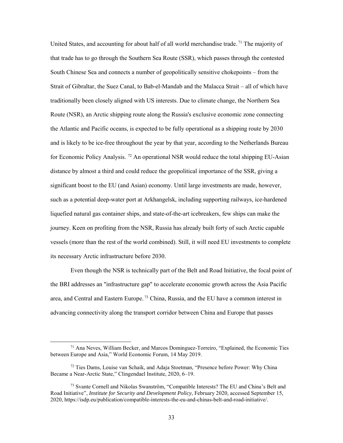United States, and accounting for about half of all world merchandise trade.<sup>71</sup> The majority of that trade has to go through the Southern Sea Route (SSR), which passes through the contested South Chinese Sea and connects a number of geopolitically sensitive chokepoints – from the Strait of Gibraltar, the Suez Canal, to Bab-el-Mandab and the Malacca Strait – all of which have traditionally been closely aligned with US interests. Due to climate change, the Northern Sea Route (NSR), an Arctic shipping route along the Russia's exclusive economic zone connecting the Atlantic and Pacific oceans, is expected to be fully operational as a shipping route by 2030 and is likely to be ice-free throughout the year by that year, according to the Netherlands Bureau for Economic Policy Analysis.<sup>72</sup> An operational NSR would reduce the total shipping EU-Asian distance by almost a third and could reduce the geopolitical importance of the SSR, giving a significant boost to the EU (and Asian) economy. Until large investments are made, however, such as a potential deep-water port at Arkhangelsk, including supporting railways, ice-hardened liquefied natural gas container ships, and state-of-the-art icebreakers, few ships can make the journey. Keen on profiting from the NSR, Russia has already built forty of such Arctic capable vessels (more than the rest of the world combined). Still, it will need EU investments to complete its necessary Arctic infrastructure before 2030.

Even though the NSR is technically part of the Belt and Road Initiative, the focal point of the BRI addresses an "infrastructure gap" to accelerate economic growth across the Asia Pacific area, and Central and Eastern Europe.<sup>73</sup> China, Russia, and the EU have a common interest in advancing connectivity along the transport corridor between China and Europe that passes

 <sup>71</sup> Ana Neves, William Becker, and Marcos Dominguez-Torreiro, "Explained, the Economic Ties between Europe and Asia," World Economic Forum, 14 May 2019.

 $72$  Ties Dams, Louise van Schaik, and Adaja Stoetman, "Presence before Power: Why China Became a Near-Arctic State," Clingendael Institute, 2020, 6–19.

<sup>73</sup> Svante Cornell and Nikolas Swanström, "Compatible Interests? The EU and China's Belt and Road Initiative", *Institute for Security and Development Policy*, February 2020, accessed September 15, 2020, https://isdp.eu/publication/compatible-interests-the-eu-and-chinas-belt-and-road-initiative/.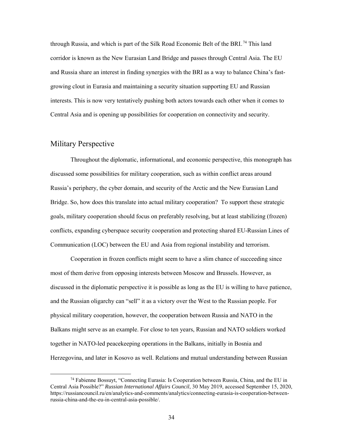through Russia, and which is part of the Silk Road Economic Belt of the BRI.<sup>74</sup> This land corridor is known as the New Eurasian Land Bridge and passes through Central Asia. The EU and Russia share an interest in finding synergies with the BRI as a way to balance China's fastgrowing clout in Eurasia and maintaining a security situation supporting EU and Russian interests. This is now very tentatively pushing both actors towards each other when it comes to Central Asia and is opening up possibilities for cooperation on connectivity and security.

#### <span id="page-41-0"></span>Military Perspective

Throughout the diplomatic, informational, and economic perspective, this monograph has discussed some possibilities for military cooperation, such as within conflict areas around Russia's periphery, the cyber domain, and security of the Arctic and the New Eurasian Land Bridge. So, how does this translate into actual military cooperation? To support these strategic goals, military cooperation should focus on preferably resolving, but at least stabilizing (frozen) conflicts, expanding cyberspace security cooperation and protecting shared EU-Russian Lines of Communication (LOC) between the EU and Asia from regional instability and terrorism.

Cooperation in frozen conflicts might seem to have a slim chance of succeeding since most of them derive from opposing interests between Moscow and Brussels. However, as discussed in the diplomatic perspective it is possible as long as the EU is willing to have patience, and the Russian oligarchy can "sell" it as a victory over the West to the Russian people. For physical military cooperation, however, the cooperation between Russia and NATO in the Balkans might serve as an example. For close to ten years, Russian and NATO soldiers worked together in NATO-led peacekeeping operations in the Balkans, initially in Bosnia and Herzegovina, and later in Kosovo as well. Relations and mutual understanding between Russian

 <sup>74</sup> Fabienne Bossuyt, "Connecting Eurasia: Is Cooperation between Russia, China, and the EU in Central Asia Possible?" *Russian International Affairs Council*, 30 May 2019, accessed September 15, 2020, https://russiancouncil.ru/en/analytics-and-comments/analytics/connecting-eurasia-is-cooperation-betweenrussia-china-and-the-eu-in-central-asia-possible/.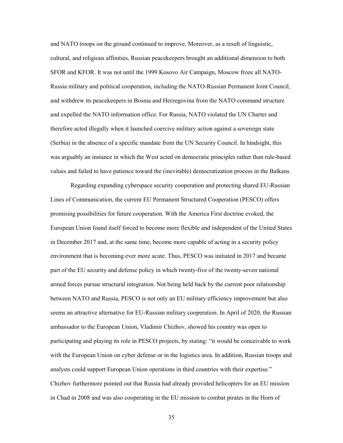and NATO troops on the ground continued to improve. Moreover, as a result of linguistic, cultural, and religious affinities, Russian peacekeepers brought an additional dimension to both SFOR and KFOR. It was not until the 1999 Kosovo Air Campaign, Moscow froze all NATO-Russia military and political cooperation, including the NATO-Russian Permanent Joint Council, and withdrew its peacekeepers in Bosnia and Herzegovina from the NATO command structure and expelled the NATO information office. For Russia, NATO violated the UN Charter and therefore acted illegally when it launched coercive military action against a sovereign state (Serbia) in the absence of a specific mandate from the UN Security Council. In hindsight, this was arguably an instance in which the West acted on democratic principles rather than rule-based values and failed to have patience toward the (inevitable) democratization process in the Balkans.

Regarding expanding cyberspace security cooperation and protecting shared EU-Russian Lines of Communication, the current EU Permanent Structured Cooperation (PESCO) offers promising possibilities for future cooperation. With the America First doctrine evoked, the European Union found itself forced to become more flexible and independent of the United States in December 2017 and, at the same time, become more capable of acting in a security policy environment that is becoming ever more acute. Thus, PESCO was initiated in 2017 and became part of the EU security and defense policy in which twenty-five of the twenty-seven national armed forces pursue structural integration. Not being held back by the current poor relationship between NATO and Russia, PESCO is not only an EU military efficiency improvement but also seems an attractive alternative for EU-Russian military cooperation. In April of 2020, the Russian ambassador to the European Union, Vladimir Chizhov, showed his country was open to participating and playing its role in PESCO projects, by stating: "it would be conceivable to work with the European Union on cyber defense or in the logistics area. In addition, Russian troops and analysts could support European Union operations in third countries with their expertise." Chizhov furthermore pointed out that Russia had already provided helicopters for an EU mission in Chad in 2008 and was also cooperating in the EU mission to combat pirates in the Horn of

35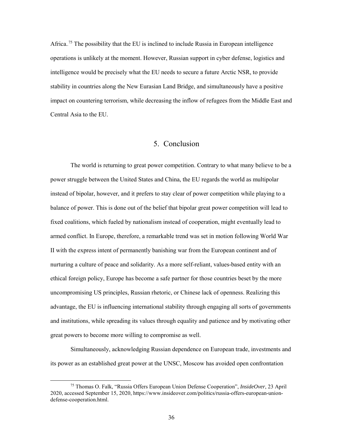Africa.<sup>75</sup> The possibility that the EU is inclined to include Russia in European intelligence operations is unlikely at the moment. However, Russian support in cyber defense, logistics and intelligence would be precisely what the EU needs to secure a future Arctic NSR, to provide stability in countries along the New Eurasian Land Bridge, and simultaneously have a positive impact on countering terrorism, while decreasing the inflow of refugees from the Middle East and Central Asia to the EU.

### 5. Conclusion

<span id="page-43-0"></span>The world is returning to great power competition. Contrary to what many believe to be a power struggle between the United States and China, the EU regards the world as multipolar instead of bipolar, however, and it prefers to stay clear of power competition while playing to a balance of power. This is done out of the belief that bipolar great power competition will lead to fixed coalitions, which fueled by nationalism instead of cooperation, might eventually lead to armed conflict. In Europe, therefore, a remarkable trend was set in motion following World War II with the express intent of permanently banishing war from the European continent and of nurturing a culture of peace and solidarity. As a more self-reliant, values-based entity with an ethical foreign policy, Europe has become a safe partner for those countries beset by the more uncompromising US principles, Russian rhetoric, or Chinese lack of openness. Realizing this advantage, the EU is influencing international stability through engaging all sorts of governments and institutions, while spreading its values through equality and patience and by motivating other great powers to become more willing to compromise as well.

Simultaneously, acknowledging Russian dependence on European trade, investments and its power as an established great power at the UNSC, Moscow has avoided open confrontation

 <sup>75</sup> Thomas O. Falk, "Russia Offers European Union Defense Cooperation", *InsideOver*, 23 April 2020, accessed September 15, 2020, https://www.insideover.com/politics/russia-offers-european-uniondefense-cooperation.html.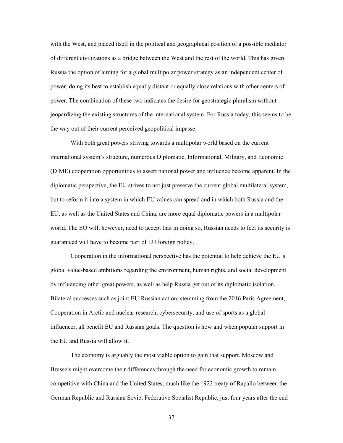with the West, and placed itself in the political and geographical position of a possible mediator of different civilizations as a bridge between the West and the rest of the world. This has given Russia the option of aiming for a global multipolar power strategy as an independent center of power, doing its best to establish equally distant or equally close relations with other centers of power. The combination of these two indicates the desire for geostrategic pluralism without jeopardizing the existing structures of the international system. For Russia today, this seems to be the way out of their current perceived geopolitical impasse.

With both great powers striving towards a multipolar world based on the current international system's structure, numerous Diplomatic, Informational, Military, and Economic (DIME) cooperation opportunities to assert national power and influence become apparent. In the diplomatic perspective, the EU strives to not just preserve the current global multilateral system, but to reform it into a system in which EU values can spread and in which both Russia and the EU, as well as the United States and China, are more equal diplomatic powers in a multipolar world. The EU will, however, need to accept that in doing so, Russian needs to feel its security is guaranteed will have to become part of EU foreign policy.

Cooperation in the informational perspective has the potential to help achieve the EU's global value-based ambitions regarding the environment, human rights, and social development by influencing other great powers, as well as help Russia get out of its diplomatic isolation. Bilateral successes such as joint EU-Russian action, stemming from the 2016 Paris Agreement, Cooperation in Arctic and nuclear research, cybersecurity, and use of sports as a global influencer, all benefit EU and Russian goals. The question is how and when popular support in the EU and Russia will allow it.

The economy is arguably the most viable option to gain that support. Moscow and Brussels might overcome their differences through the need for economic growth to remain competitive with China and the United States, much like the 1922 treaty of Rapallo between the German Republic and Russian Soviet Federative Socialist Republic, just four years after the end

37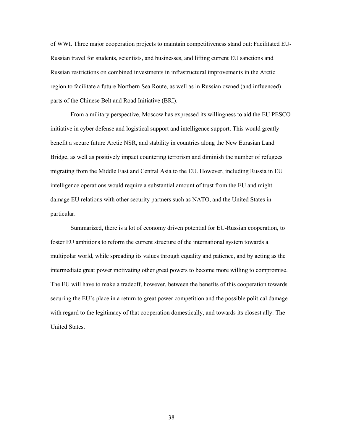of WWI. Three major cooperation projects to maintain competitiveness stand out: Facilitated EU-Russian travel for students, scientists, and businesses, and lifting current EU sanctions and Russian restrictions on combined investments in infrastructural improvements in the Arctic region to facilitate a future Northern Sea Route, as well as in Russian owned (and influenced) parts of the Chinese Belt and Road Initiative (BRI).

From a military perspective, Moscow has expressed its willingness to aid the EU PESCO initiative in cyber defense and logistical support and intelligence support. This would greatly benefit a secure future Arctic NSR, and stability in countries along the New Eurasian Land Bridge, as well as positively impact countering terrorism and diminish the number of refugees migrating from the Middle East and Central Asia to the EU. However, including Russia in EU intelligence operations would require a substantial amount of trust from the EU and might damage EU relations with other security partners such as NATO, and the United States in particular.

Summarized, there is a lot of economy driven potential for EU-Russian cooperation, to foster EU ambitions to reform the current structure of the international system towards a multipolar world, while spreading its values through equality and patience, and by acting as the intermediate great power motivating other great powers to become more willing to compromise. The EU will have to make a tradeoff, however, between the benefits of this cooperation towards securing the EU's place in a return to great power competition and the possible political damage with regard to the legitimacy of that cooperation domestically, and towards its closest ally: The United States.

38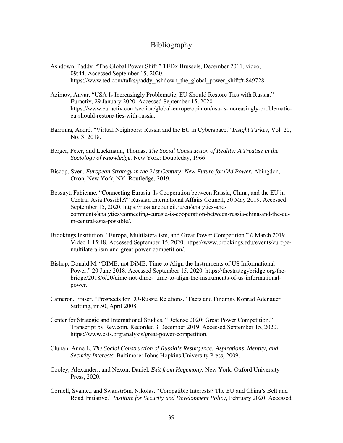#### Bibliography

- <span id="page-46-0"></span>Ashdown, Paddy. "The Global Power Shift." TEDx Brussels, December 2011, video, 09:44. Accessed September 15, 2020. [https://www.ted.com/talks/paddy\\_ashdown\\_the\\_global\\_power\\_shift#t-849728.](https://www.ted.com/talks/paddy_ashdown_the_global_power_shift#t-849728)
- Azimov, Anvar. "USA Is Increasingly Problematic, EU Should Restore Ties with Russia." Euractiv, 29 January 2020. Accessed September 15, 2020. [https://www.euractiv.com/section/global-europe/opinion/usa-is-i](https://www.euractiv.com/section/global-europe/opinion/usa-is-)ncreasingly-problematiceu-should-restore-ties-with-russia.
- Barrinha, André. "Virtual Neighbors: Russia and the EU in Cyberspace." *Insight Turkey*, Vol. 20, No. 3, 2018.
- Berger, Peter, and Luckmann, Thomas. *The Social Construction of Reality: A Treatise in the Sociology of Knowledge.* New York: Doubleday, 1966.
- Biscop, Sven. *European Strategy in the 21st Century: New Future for Old Power.* Abingdon, Oxon, New York, NY: Routledge, 2019.
- Bossuyt, Fabienne. "Connecting Eurasia: Is Cooperation between Russia, China, and the EU in Central Asia Possible?" Russian International Affairs Council, 30 May 2019. Accessed September 15, 2020. [https://russiancouncil.ru/en/analytics-and](https://russiancouncil.ru/en/analytics-and-comments/analytics/connecting-eurasia-is-cooperation-between-russia-china-and-the-eu-in-central-asia-possible/)[comments/analytics/connecting-eurasia-is-cooperation-between-russia-china-and-the-eu](https://russiancouncil.ru/en/analytics-and-comments/analytics/connecting-eurasia-is-cooperation-between-russia-china-and-the-eu-in-central-asia-possible/)[in-central-asia-possible/.](https://russiancouncil.ru/en/analytics-and-comments/analytics/connecting-eurasia-is-cooperation-between-russia-china-and-the-eu-in-central-asia-possible/)
- Brookings Institution. "Europe, Multilateralism, and Great Power Competition." *6* March 2019, Video 1:15:18. Accessed September 15, 2020. [https://www.brookings.edu/events/europe](https://www.brookings.edu/events/europe-multilateralism-and-)[multilateralism-and-g](https://www.brookings.edu/events/europe-multilateralism-and-)reat-power-competition/.
- Bishop, Donald M. "DIME, not DiME: Time to Align the Instruments of US Informational Power." 20 June 2018. Accessed September 15, 2020[. https://thestrategybridge.org/the](https://thestrategybridge.org/the-bridge/2018/6/20/dime-not-dime-%20%20time-to-)[bridge/2018/6/20/dime-not-dime- time-to-a](https://thestrategybridge.org/the-bridge/2018/6/20/dime-not-dime-%20%20time-to-)lign-the-instruments-of-us-informationalpower.
- Cameron, Fraser. "Prospects for EU-Russia Relations." Facts and Findings Konrad Adenauer Stiftung, nr 50, April 2008.
- Center for Strategic and International Studies. "Defense 2020: Great Power Competition." Transcript by Rev.com, Recorded 3 December 2019. Accessed September 15, 2020. [https://www.csis.org/analysis/great-power-competition.](https://www.csis.org/analysis/great-power-competition)
- Clunan, Anne L. *The Social Construction of Russia's Resurgence: Aspirations, Identity, and Security Interests.* Baltimore: Johns Hopkins University Press, 2009.
- Cooley, Alexander., and Nexon, Daniel. *Exit from Hegemony.* New York: Oxford University Press, 2020.
- Cornell, Svante., and Swanström, Nikolas. "Compatible Interests? The EU and China's Belt and Road Initiative." *Institute for Security and Development Policy*, February 2020. Accessed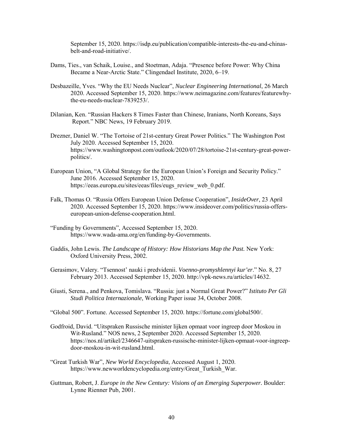September 15, 2020. [https://isdp.eu/publication/compatible-interests-the-eu-and-chinas](https://isdp.eu/publication/compatible-interests-the-eu-and-chinas-belt-and-road-)[belt-and-road-i](https://isdp.eu/publication/compatible-interests-the-eu-and-chinas-belt-and-road-)nitiative/.

- Dams, Ties., van Schaik, Louise., and Stoetman, Adaja. "Presence before Power: Why China Became a Near-Arctic State." Clingendael Institute, 2020, 6–19.
- Desbazeille, Yves. "Why the EU Needs Nuclear", *Nuclear Engineering International*, 26 March 2020. Accessed September 15, 2020. [https://www.neimagazine.com/features/featurewhy](https://www.neimagazine.com/features/featurewhy-the-eu-needs-nuclear-7839253/)[the-eu-needs-nuclear-7839253/.](https://www.neimagazine.com/features/featurewhy-the-eu-needs-nuclear-7839253/)
- Dilanian, Ken. "Russian Hackers 8 Times Faster than Chinese, Iranians, North Koreans, Says Report." NBC News, 19 February 2019.
- Drezner, Daniel W. "The Tortoise of 21st-century Great Power Politics." The Washington Post July 2020. Accessed September 15, 2020. [https://www.washingtonpost.com/outlook/2020/07/28/tortoise-21st-century-great-p](https://www.washingtonpost.com/outlook/2020/07/28/tortoise-21st-century-great-)owerpolitics/.
- European Union, "A Global Strategy for the European Union's Foreign and Security Policy." June 2016. Accessed September 15, 2020. [https://eeas.europa.eu/sites/eeas/files/eugs\\_review\\_web\\_0.pdf.](https://eeas.europa.eu/sites/eeas/files/eugs_review_web_0.pdf)
- Falk, Thomas O. "Russia Offers European Union Defense Cooperation", *InsideOver*, 23 April 2020. Accessed September 15, 2020. [https://www.insideover.com/politics/russia-offers](https://www.insideover.com/politics/russia-offers-european-union-defense-)[european-union-defense-c](https://www.insideover.com/politics/russia-offers-european-union-defense-)ooperation.html.
- "Funding by Governments", Accessed September 15, 2020. [https://www.wada-ama.org/en/funding-by-G](https://www.wada-ama.org/en/funding-by-)overnments.
- Gaddis, John Lewis. *The Landscape of History: How Historians Map the Past.* New York: Oxford University Press, 2002.
- Gerasimov, Valery. "Tsennost' nauki i predvidenii. *Voenno-promyshlennyi kur'er*." No. 8, 27 February 2013. Accessed September 15, 2020. http://vpk-news.ru/articles/14632.
- Giusti, Serena., and Penkova, Tomislava. "Russia: just a Normal Great Power?" *Istituto Per Gli Studi Politica Internazionale*, Working Paper issue 34, October 2008.
- "Global 500". Fortune. Accessed September 15, 2020. [https://fortune.com/global500/.](https://fortune.com/global500/)
- Godfroid, David. "Uitspraken Russische minister lijken opmaat voor ingreep door Moskou in Wit-Rusland." NOS news, 2 September 2020. Accessed September 15, 2020. [https://nos.nl/artikel/2346647-uitspraken-r](https://nos.nl/artikel/2346647-uitspraken-)ussische-minister-lijken-opmaat-voor-ingreepdoor-moskou-in-wit-rusland.html.
- "Great Turkish War", *New World Encyclopedia*, Accessed August 1, 2020. [https://www.newworldencyclopedia.org/entry/Great\\_Turkish\\_War.](https://www.newworldencyclopedia.org/entry/Great_Turkish_War)
- Guttman, Robert, J. *Europe in the New Century: Visions of an Emerging Superpower*. Boulder: Lynne Rienner Pub, 2001.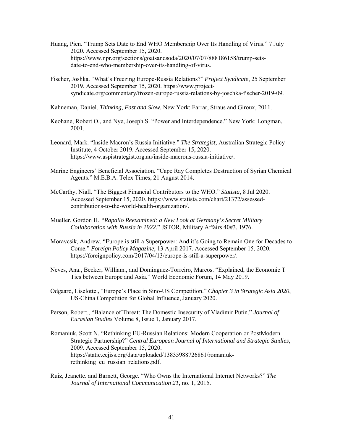- Huang, Pien. "Trump Sets Date to End WHO Membership Over Its Handling of Virus." 7 July 2020. Accessed September 15, 2020. [https://www.npr.org/sections/goatsandsoda/2020/07/07/888186158/trump-sets](https://www.npr.org/sections/goatsandsoda/2020/07/07/888186158/trump-sets-) date-to-end-who-membership-over-its-handling-of-virus.
- Fischer, Joshka. "What's Freezing Europe-Russia Relations?" *Project Syndicate*, 25 September 2019. Accessed September 15, 2020. [https://www.project](https://www.project-syndicate.org/commentary/frozen-europe-russia-relations-by-)[syndicate.org/commentary/frozen-europe-russia-relations-by-j](https://www.project-syndicate.org/commentary/frozen-europe-russia-relations-by-)oschka-fischer-2019-09.

Kahneman, Daniel. *Thinking, Fast and Slow.* New York: Farrar, Straus and Giroux, 2011.

- Keohane, Robert O., and Nye, Joseph S. "Power and Interdependence." New York: Longman, 2001.
- Leonard, Mark. "Inside Macron's Russia Initiative." *The Strategist*, Australian Strategic Policy Institute, 4 October 2019. Accessed September 15, 2020. [https://www.aspistrategist.org.au/inside-macrons-russia-i](https://www.aspistrategist.org.au/inside-macrons-russia-)nitiative/.
- Marine Engineers' Beneficial Association. "Cape Ray Completes Destruction of Syrian Chemical Agents." M.E.B.A. Telex Times, 21 August 2014.
- McCarthy, Niall. "The Biggest Financial Contributors to the WHO." *Statista*, 8 Jul 2020. Accessed September 15, 2020. [https://www.statista.com/chart/21372/assessed](https://www.statista.com/chart/21372/assessed-contributions-to-the-world-health-)[contributions-to-the-world-health-o](https://www.statista.com/chart/21372/assessed-contributions-to-the-world-health-)rganization/.
- Mueller, Gordon H. *"Rapallo Reexamined: a New Look at Germany's Secret Military Collaboration with Russia in 1922*." JSTOR, Military Affairs 40#3, 1976.
- Moravcsik, Andrew. "Europe is still a Superpower: And it's Going to Remain One for Decades to Come." *Foreign Policy Magazine*, 13 April 2017. Accessed September 15, 2020. [https://foreignpolicy.com/2017/04/13/europe-i](https://foreignpolicy.com/2017/04/13/europe-)s-still-a-superpower/.
- Neves, Ana., Becker, William., and Dominguez-Torreiro, Marcos. "Explained, the Economic T Ties between Europe and Asia." World Economic Forum, 14 May 2019.
- Odgaard, Liselotte., "Europe's Place in Sino-US Competition." *Chapter 3 in Strategic Asia 2020*, US-China Competition for Global Influence, January 2020.
- Person, Robert., "Balance of Threat: The Domestic Insecurity of Vladimir Putin." *Journal of Eurasian Studies* Volume 8, Issue 1, January 2017.
- Romaniuk, Scott N. "Rethinking EU-Russian Relations: Modern Cooperation or PostModern Strategic Partnership?" *Central European Journal of International and Strategic Studies*, 2009. Accessed September 15, 2020. [https://static.cejiss.org/data/uploaded/13835988726861/romaniuk](https://static.cejiss.org/data/uploaded/13835988726861/romaniuk-)rethinking eu russian relations.pdf.
- Ruiz, Jeanette. and Barnett, George. "Who Owns the International Internet Networks?" *The Journal of International Communication 21*, no. 1, 2015.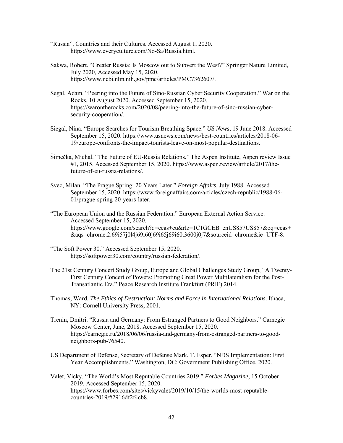- "Russia", Countries and their Cultures. Accessed August 1, 2020. [https://www.everyculture.com/No-S](https://www.everyculture.com/No-)a/Russia.html.
- Sakwa, Robert. "Greater Russia: Is Moscow out to Subvert the West?" Springer Nature Limited, July 2020, Accessed May 15, 2020. [https://www.ncbi.nlm.nih.gov/pmc/articles/PMC7362607/.](https://www.ncbi.nlm.nih.gov/pmc/articles/PMC7362607/)
- Segal, Adam. "Peering into the Future of Sino-Russian Cyber Security Cooperation." War on the Rocks, 10 August 2020. Accessed September 15, 2020. [https://warontherocks.com/2020/08/peering-into-the-future-of-s](https://warontherocks.com/2020/08/peering-into-the-future-of-)ino-russian-cybersecurity-cooperation/.
- Siegal, Nina. "Europe Searches for Tourism Breathing Space." *US News*, 19 June 2018. Accessed September 15, 2020. [https://www.usnews.com/news/best-countries/articles/2018-06-](https://www.usnews.com/news/best-countries/articles/2018-06-19/europe-confronts-the-) [19/europe-confronts-the-i](https://www.usnews.com/news/best-countries/articles/2018-06-19/europe-confronts-the-)mpact-tourists-leave-on-most-popular-destinations.
- Šimečka, Michal. "The Future of EU-Russia Relations." The Aspen Institute, Aspen review Issue #1, 2015. Accessed September 15, 2020. [https://www.aspen.review/article/2017/the](ttps://www.aspen.review/article/2017/the-f)[fu](ttps://www.aspen.review/article/2017/the-f)ture-of-eu-russia-relations/.
- Svec, Milan. "The Prague Spring: 20 Years Later." *Foreign Affairs*, July 1988. Accessed September 15, 2020. [https://www.foreignaffairs.com/articles/czech-republic/1988-06-](https://www.foreignaffairs.com/articles/czech-republic/1988-06-01/prague-spring-20-) [01/prague-spring-20-y](https://www.foreignaffairs.com/articles/czech-republic/1988-06-01/prague-spring-20-)ears-later.
- "The European Union and the Russian Federation." European External Action Service. Accessed September 15, 2020. [https://www.google.com/search?q=eeas+eu&rlz=1C1GCEB\\_enUS857US857&oq=eeas+](https://www.google.com/search?q=eeas+eu&rlz=1C1GCEB_enUS857US857&oq=eeas) &aqs=chrome.2.69i57j0l4j69i60j69i65j69i60.3600j0j7&sourceid=chrome&ie=UTF-8.
- "The Soft Power 30." Accessed September 15, 2020. [https://softpower30.com/country/russian-federation/.](https://softpower30.com/country/russian-federation/)
- The 21st Century Concert Study Group, Europe and Global Challenges Study Group, "A Twenty- First Century Concert of Powers: Promoting Great Power Multilateralism for the Post-Transatlantic Era." Peace Research Institute Frankfurt (PRIF) 2014.
- Thomas, Ward. *The Ethics of Destruction: Norms and Force in International Relations*. Ithaca, NY: Cornell University Press, 2001.
- Trenin, Dmitri. "Russia and Germany: From Estranged Partners to Good Neighbors." Carnegie Moscow Center, June, 2018. Accessed September 15, 2020. [https://carnegie.ru/2018/06/06/russia-and-germany-from-e](https://carnegie.ru/2018/06/06/russia-and-germany-from-)stranged-partners-to-goodneighbors-pub-76540.
- US Department of Defense, Secretary of Defense Mark, T. Esper. "NDS Implementation: First Year Accomplishments." Washington, DC: Government Publishing Office, 2020.
- Valet, Vicky. "The World's Most Reputable Countries 2019." *Forbes Magazine*, 15 October 2019. Accessed September 15, 2020. [https://www.forbes.com/sites/vickyvalet/2019/10/15/the-worlds-most-reputable](https://www.forbes.com/sites/vickyvalet/2019/10/15/the-worlds-most-reputable-) countries-2019/#2916df2f4cb8.